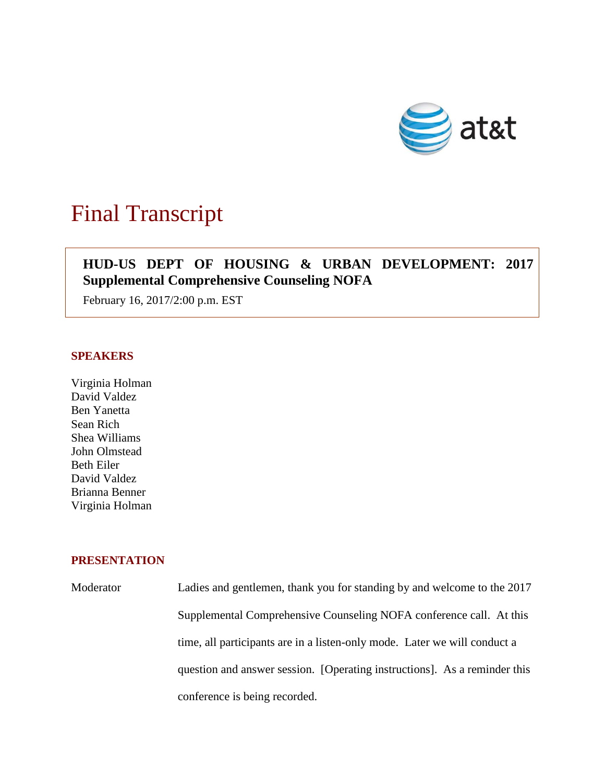

# Final Transcript

# **HUD-US DEPT OF HOUSING & URBAN DEVELOPMENT: 2017 Supplemental Comprehensive Counseling NOFA**

February 16, 2017/2:00 p.m. EST

### **SPEAKERS**

Virginia Holman David Valdez Ben Yanetta Sean Rich Shea Williams John Olmstead Beth Eiler David Valdez Brianna Benner Virginia Holman

## **PRESENTATION**

Moderator Ladies and gentlemen, thank you for standing by and welcome to the 2017 Supplemental Comprehensive Counseling NOFA conference call. At this time, all participants are in a listen-only mode. Later we will conduct a question and answer session. [Operating instructions]. As a reminder this conference is being recorded.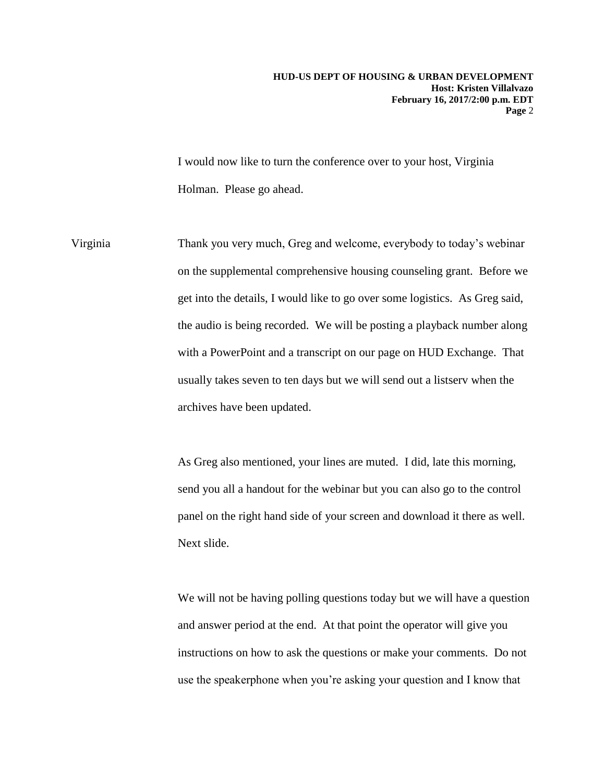I would now like to turn the conference over to your host, Virginia Holman. Please go ahead.

Virginia Thank you very much, Greg and welcome, everybody to today's webinar on the supplemental comprehensive housing counseling grant. Before we get into the details, I would like to go over some logistics. As Greg said, the audio is being recorded. We will be posting a playback number along with a PowerPoint and a transcript on our page on HUD Exchange. That usually takes seven to ten days but we will send out a listserv when the archives have been updated.

> As Greg also mentioned, your lines are muted. I did, late this morning, send you all a handout for the webinar but you can also go to the control panel on the right hand side of your screen and download it there as well. Next slide.

We will not be having polling questions today but we will have a question and answer period at the end. At that point the operator will give you instructions on how to ask the questions or make your comments. Do not use the speakerphone when you're asking your question and I know that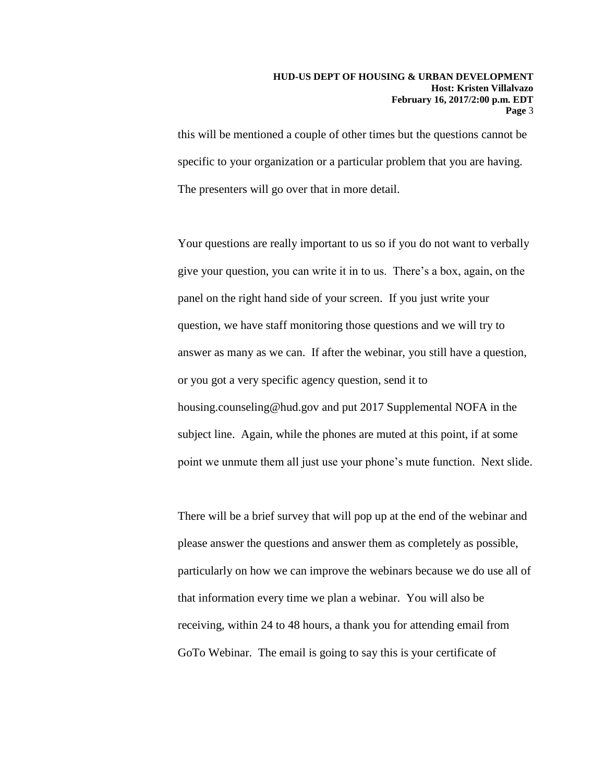this will be mentioned a couple of other times but the questions cannot be specific to your organization or a particular problem that you are having. The presenters will go over that in more detail.

Your questions are really important to us so if you do not want to verbally give your question, you can write it in to us. There's a box, again, on the panel on the right hand side of your screen. If you just write your question, we have staff monitoring those questions and we will try to answer as many as we can. If after the webinar, you still have a question, or you got a very specific agency question, send it to housing.counseling@hud.gov and put 2017 Supplemental NOFA in the subject line. Again, while the phones are muted at this point, if at some point we unmute them all just use your phone's mute function. Next slide.

There will be a brief survey that will pop up at the end of the webinar and please answer the questions and answer them as completely as possible, particularly on how we can improve the webinars because we do use all of that information every time we plan a webinar. You will also be receiving, within 24 to 48 hours, a thank you for attending email from GoTo Webinar. The email is going to say this is your certificate of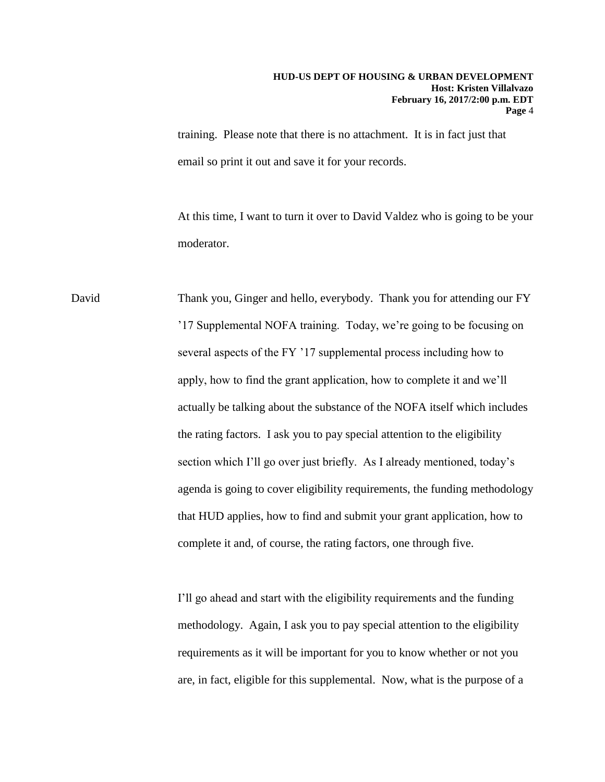training. Please note that there is no attachment. It is in fact just that email so print it out and save it for your records.

At this time, I want to turn it over to David Valdez who is going to be your moderator.

David Thank you, Ginger and hello, everybody. Thank you for attending our FY '17 Supplemental NOFA training. Today, we're going to be focusing on several aspects of the FY '17 supplemental process including how to apply, how to find the grant application, how to complete it and we'll actually be talking about the substance of the NOFA itself which includes the rating factors. I ask you to pay special attention to the eligibility section which I'll go over just briefly. As I already mentioned, today's agenda is going to cover eligibility requirements, the funding methodology that HUD applies, how to find and submit your grant application, how to complete it and, of course, the rating factors, one through five.

> I'll go ahead and start with the eligibility requirements and the funding methodology. Again, I ask you to pay special attention to the eligibility requirements as it will be important for you to know whether or not you are, in fact, eligible for this supplemental. Now, what is the purpose of a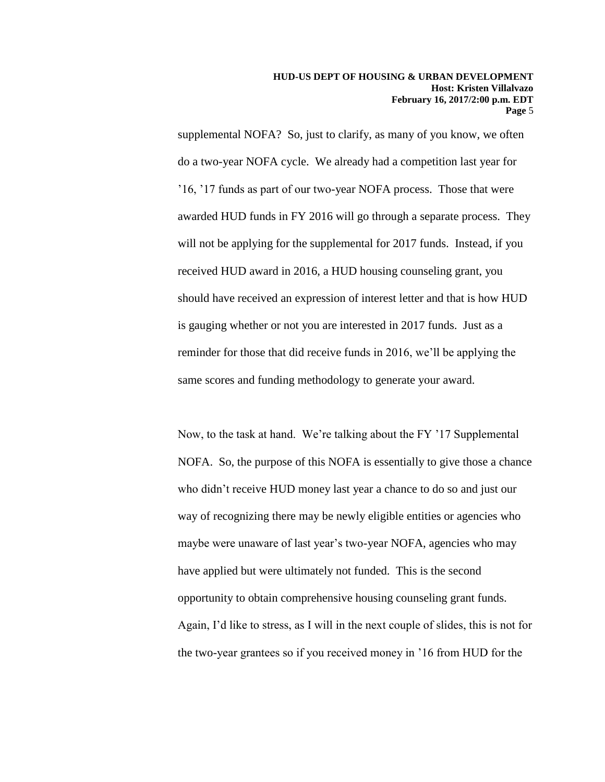supplemental NOFA? So, just to clarify, as many of you know, we often do a two-year NOFA cycle. We already had a competition last year for '16, '17 funds as part of our two-year NOFA process. Those that were awarded HUD funds in FY 2016 will go through a separate process. They will not be applying for the supplemental for 2017 funds. Instead, if you received HUD award in 2016, a HUD housing counseling grant, you should have received an expression of interest letter and that is how HUD is gauging whether or not you are interested in 2017 funds. Just as a reminder for those that did receive funds in 2016, we'll be applying the same scores and funding methodology to generate your award.

Now, to the task at hand. We're talking about the FY '17 Supplemental NOFA. So, the purpose of this NOFA is essentially to give those a chance who didn't receive HUD money last year a chance to do so and just our way of recognizing there may be newly eligible entities or agencies who maybe were unaware of last year's two-year NOFA, agencies who may have applied but were ultimately not funded. This is the second opportunity to obtain comprehensive housing counseling grant funds. Again, I'd like to stress, as I will in the next couple of slides, this is not for the two-year grantees so if you received money in '16 from HUD for the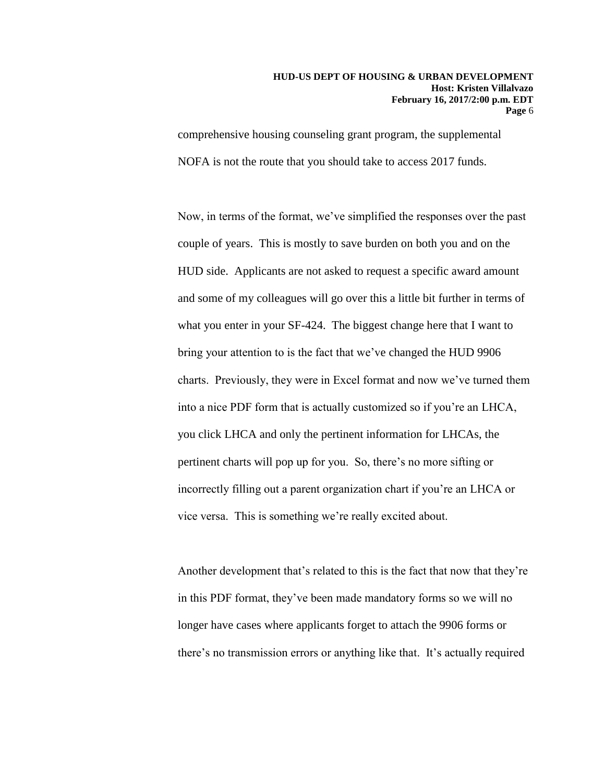comprehensive housing counseling grant program, the supplemental NOFA is not the route that you should take to access 2017 funds.

Now, in terms of the format, we've simplified the responses over the past couple of years. This is mostly to save burden on both you and on the HUD side. Applicants are not asked to request a specific award amount and some of my colleagues will go over this a little bit further in terms of what you enter in your SF-424. The biggest change here that I want to bring your attention to is the fact that we've changed the HUD 9906 charts. Previously, they were in Excel format and now we've turned them into a nice PDF form that is actually customized so if you're an LHCA, you click LHCA and only the pertinent information for LHCAs, the pertinent charts will pop up for you. So, there's no more sifting or incorrectly filling out a parent organization chart if you're an LHCA or vice versa. This is something we're really excited about.

Another development that's related to this is the fact that now that they're in this PDF format, they've been made mandatory forms so we will no longer have cases where applicants forget to attach the 9906 forms or there's no transmission errors or anything like that. It's actually required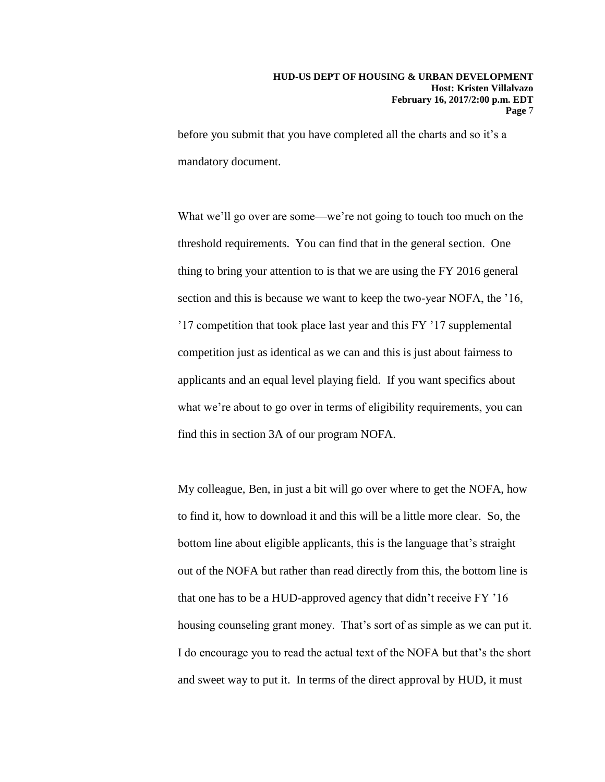before you submit that you have completed all the charts and so it's a mandatory document.

What we'll go over are some—we're not going to touch too much on the threshold requirements. You can find that in the general section. One thing to bring your attention to is that we are using the FY 2016 general section and this is because we want to keep the two-year NOFA, the '16, '17 competition that took place last year and this FY '17 supplemental competition just as identical as we can and this is just about fairness to applicants and an equal level playing field. If you want specifics about what we're about to go over in terms of eligibility requirements, you can find this in section 3A of our program NOFA.

My colleague, Ben, in just a bit will go over where to get the NOFA, how to find it, how to download it and this will be a little more clear. So, the bottom line about eligible applicants, this is the language that's straight out of the NOFA but rather than read directly from this, the bottom line is that one has to be a HUD-approved agency that didn't receive FY '16 housing counseling grant money. That's sort of as simple as we can put it. I do encourage you to read the actual text of the NOFA but that's the short and sweet way to put it. In terms of the direct approval by HUD, it must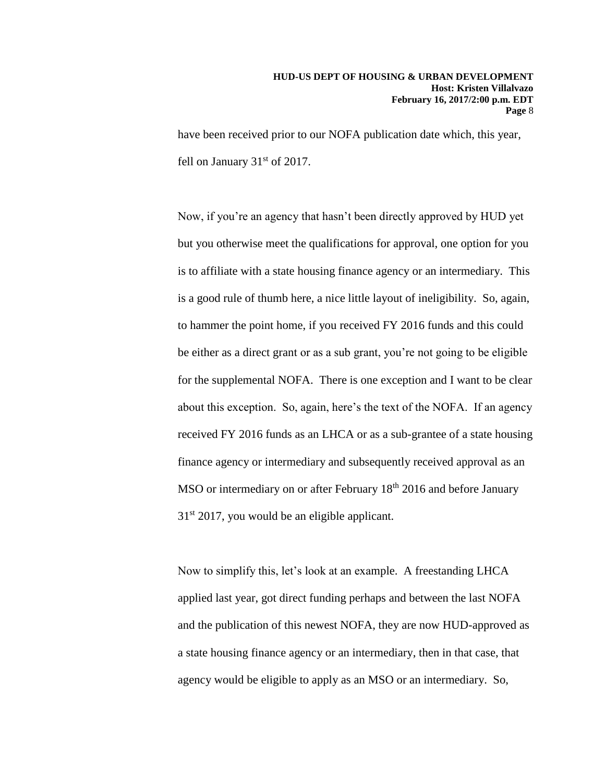have been received prior to our NOFA publication date which, this year, fell on January  $31<sup>st</sup>$  of 2017.

Now, if you're an agency that hasn't been directly approved by HUD yet but you otherwise meet the qualifications for approval, one option for you is to affiliate with a state housing finance agency or an intermediary. This is a good rule of thumb here, a nice little layout of ineligibility. So, again, to hammer the point home, if you received FY 2016 funds and this could be either as a direct grant or as a sub grant, you're not going to be eligible for the supplemental NOFA. There is one exception and I want to be clear about this exception. So, again, here's the text of the NOFA. If an agency received FY 2016 funds as an LHCA or as a sub-grantee of a state housing finance agency or intermediary and subsequently received approval as an MSO or intermediary on or after February 18<sup>th</sup> 2016 and before January  $31<sup>st</sup> 2017$ , you would be an eligible applicant.

Now to simplify this, let's look at an example. A freestanding LHCA applied last year, got direct funding perhaps and between the last NOFA and the publication of this newest NOFA, they are now HUD-approved as a state housing finance agency or an intermediary, then in that case, that agency would be eligible to apply as an MSO or an intermediary. So,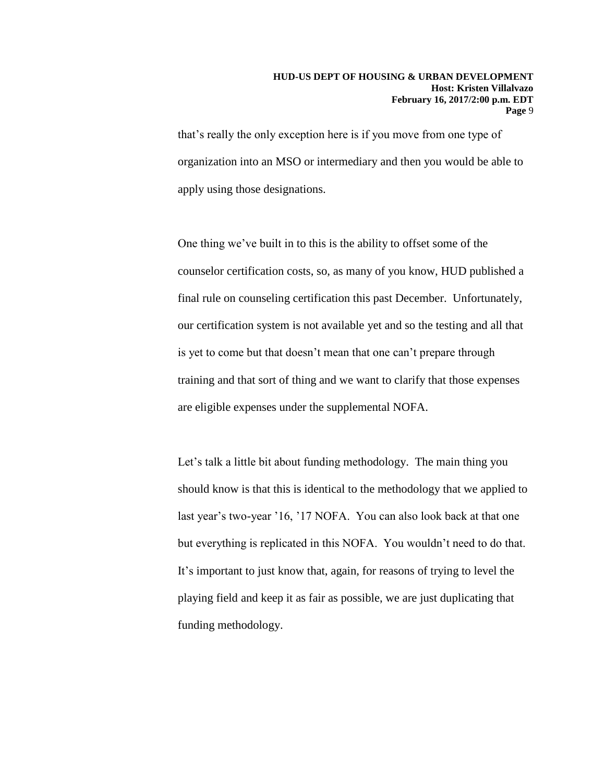that's really the only exception here is if you move from one type of organization into an MSO or intermediary and then you would be able to apply using those designations.

One thing we've built in to this is the ability to offset some of the counselor certification costs, so, as many of you know, HUD published a final rule on counseling certification this past December. Unfortunately, our certification system is not available yet and so the testing and all that is yet to come but that doesn't mean that one can't prepare through training and that sort of thing and we want to clarify that those expenses are eligible expenses under the supplemental NOFA.

Let's talk a little bit about funding methodology. The main thing you should know is that this is identical to the methodology that we applied to last year's two-year '16, '17 NOFA. You can also look back at that one but everything is replicated in this NOFA. You wouldn't need to do that. It's important to just know that, again, for reasons of trying to level the playing field and keep it as fair as possible, we are just duplicating that funding methodology.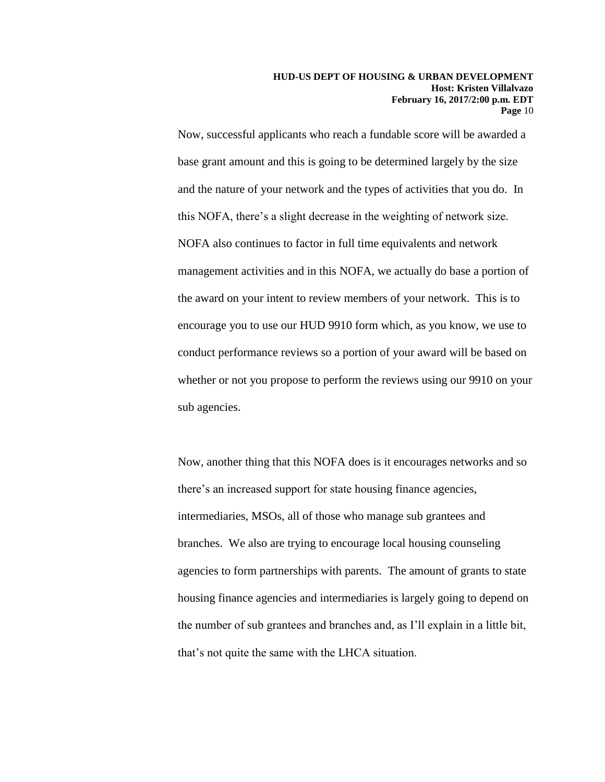Now, successful applicants who reach a fundable score will be awarded a base grant amount and this is going to be determined largely by the size and the nature of your network and the types of activities that you do. In this NOFA, there's a slight decrease in the weighting of network size. NOFA also continues to factor in full time equivalents and network management activities and in this NOFA, we actually do base a portion of the award on your intent to review members of your network. This is to encourage you to use our HUD 9910 form which, as you know, we use to conduct performance reviews so a portion of your award will be based on whether or not you propose to perform the reviews using our 9910 on your sub agencies.

Now, another thing that this NOFA does is it encourages networks and so there's an increased support for state housing finance agencies, intermediaries, MSOs, all of those who manage sub grantees and branches. We also are trying to encourage local housing counseling agencies to form partnerships with parents. The amount of grants to state housing finance agencies and intermediaries is largely going to depend on the number of sub grantees and branches and, as I'll explain in a little bit, that's not quite the same with the LHCA situation.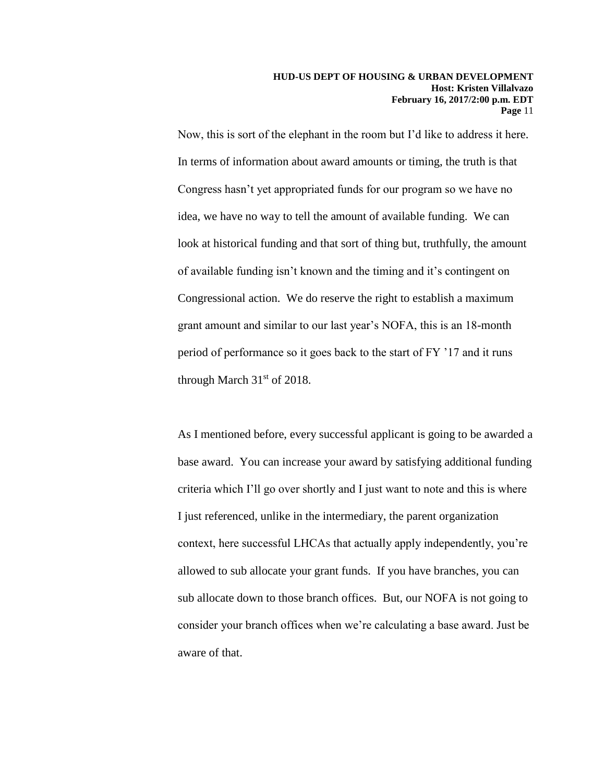Now, this is sort of the elephant in the room but I'd like to address it here. In terms of information about award amounts or timing, the truth is that Congress hasn't yet appropriated funds for our program so we have no idea, we have no way to tell the amount of available funding. We can look at historical funding and that sort of thing but, truthfully, the amount of available funding isn't known and the timing and it's contingent on Congressional action. We do reserve the right to establish a maximum grant amount and similar to our last year's NOFA, this is an 18-month period of performance so it goes back to the start of FY '17 and it runs through March  $31<sup>st</sup>$  of 2018.

As I mentioned before, every successful applicant is going to be awarded a base award. You can increase your award by satisfying additional funding criteria which I'll go over shortly and I just want to note and this is where I just referenced, unlike in the intermediary, the parent organization context, here successful LHCAs that actually apply independently, you're allowed to sub allocate your grant funds. If you have branches, you can sub allocate down to those branch offices. But, our NOFA is not going to consider your branch offices when we're calculating a base award. Just be aware of that.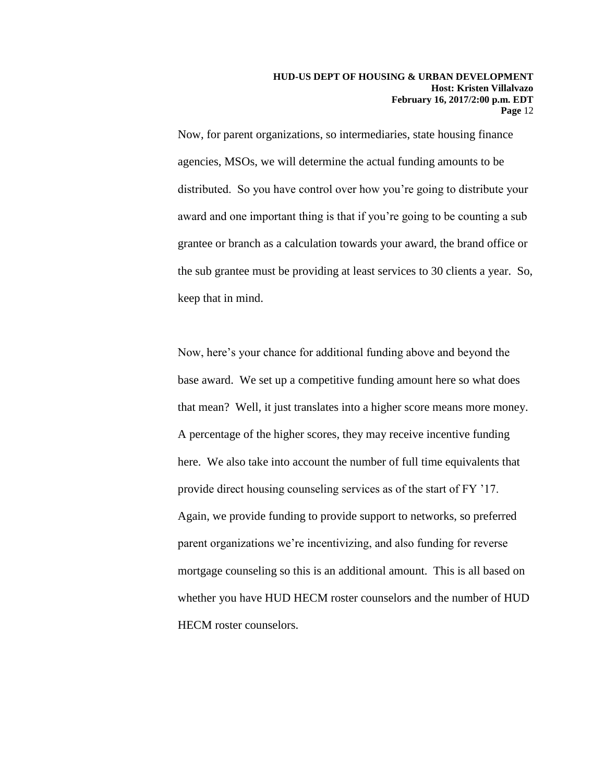Now, for parent organizations, so intermediaries, state housing finance agencies, MSOs, we will determine the actual funding amounts to be distributed. So you have control over how you're going to distribute your award and one important thing is that if you're going to be counting a sub grantee or branch as a calculation towards your award, the brand office or the sub grantee must be providing at least services to 30 clients a year. So, keep that in mind.

Now, here's your chance for additional funding above and beyond the base award. We set up a competitive funding amount here so what does that mean? Well, it just translates into a higher score means more money. A percentage of the higher scores, they may receive incentive funding here. We also take into account the number of full time equivalents that provide direct housing counseling services as of the start of FY '17. Again, we provide funding to provide support to networks, so preferred parent organizations we're incentivizing, and also funding for reverse mortgage counseling so this is an additional amount. This is all based on whether you have HUD HECM roster counselors and the number of HUD HECM roster counselors.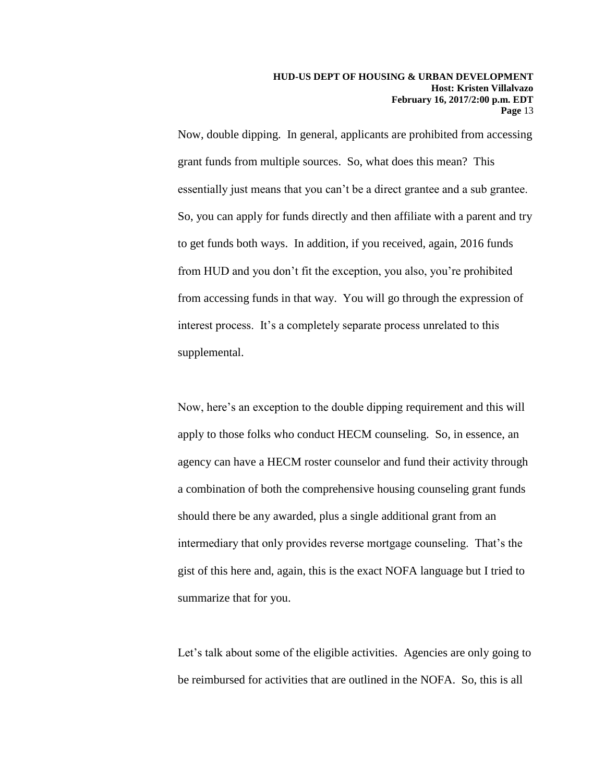Now, double dipping. In general, applicants are prohibited from accessing grant funds from multiple sources. So, what does this mean? This essentially just means that you can't be a direct grantee and a sub grantee. So, you can apply for funds directly and then affiliate with a parent and try to get funds both ways. In addition, if you received, again, 2016 funds from HUD and you don't fit the exception, you also, you're prohibited from accessing funds in that way. You will go through the expression of interest process. It's a completely separate process unrelated to this supplemental.

Now, here's an exception to the double dipping requirement and this will apply to those folks who conduct HECM counseling. So, in essence, an agency can have a HECM roster counselor and fund their activity through a combination of both the comprehensive housing counseling grant funds should there be any awarded, plus a single additional grant from an intermediary that only provides reverse mortgage counseling. That's the gist of this here and, again, this is the exact NOFA language but I tried to summarize that for you.

Let's talk about some of the eligible activities. Agencies are only going to be reimbursed for activities that are outlined in the NOFA. So, this is all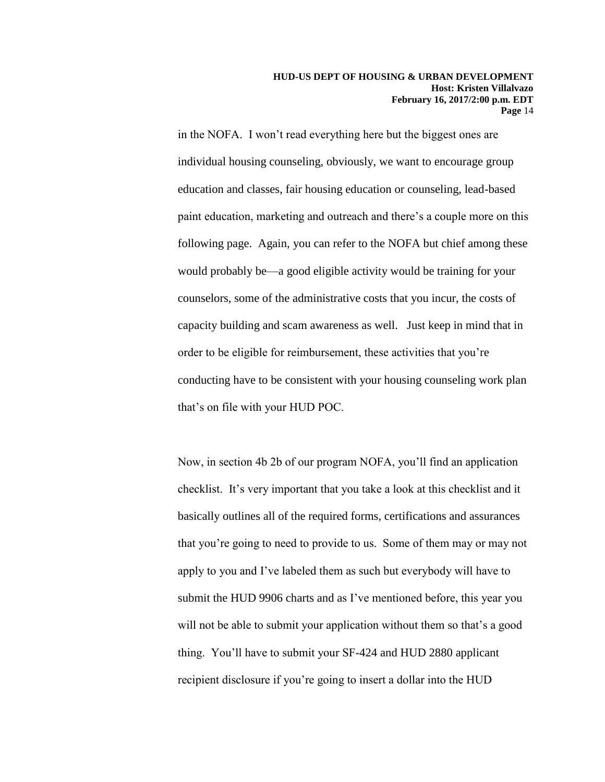in the NOFA. I won't read everything here but the biggest ones are individual housing counseling, obviously, we want to encourage group education and classes, fair housing education or counseling, lead-based paint education, marketing and outreach and there's a couple more on this following page. Again, you can refer to the NOFA but chief among these would probably be—a good eligible activity would be training for your counselors, some of the administrative costs that you incur, the costs of capacity building and scam awareness as well. Just keep in mind that in order to be eligible for reimbursement, these activities that you're conducting have to be consistent with your housing counseling work plan that's on file with your HUD POC.

Now, in section 4b 2b of our program NOFA, you'll find an application checklist. It's very important that you take a look at this checklist and it basically outlines all of the required forms, certifications and assurances that you're going to need to provide to us. Some of them may or may not apply to you and I've labeled them as such but everybody will have to submit the HUD 9906 charts and as I've mentioned before, this year you will not be able to submit your application without them so that's a good thing. You'll have to submit your SF-424 and HUD 2880 applicant recipient disclosure if you're going to insert a dollar into the HUD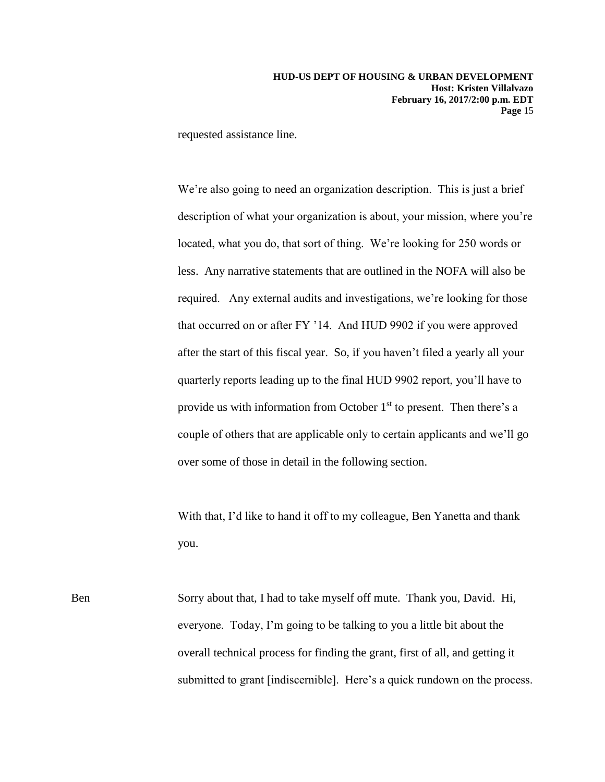requested assistance line.

We're also going to need an organization description. This is just a brief description of what your organization is about, your mission, where you're located, what you do, that sort of thing. We're looking for 250 words or less. Any narrative statements that are outlined in the NOFA will also be required. Any external audits and investigations, we're looking for those that occurred on or after FY '14. And HUD 9902 if you were approved after the start of this fiscal year. So, if you haven't filed a yearly all your quarterly reports leading up to the final HUD 9902 report, you'll have to provide us with information from October  $1<sup>st</sup>$  to present. Then there's a couple of others that are applicable only to certain applicants and we'll go over some of those in detail in the following section.

With that, I'd like to hand it off to my colleague, Ben Yanetta and thank you.

Ben Sorry about that, I had to take myself off mute. Thank you, David. Hi, everyone. Today, I'm going to be talking to you a little bit about the overall technical process for finding the grant, first of all, and getting it submitted to grant [indiscernible]. Here's a quick rundown on the process.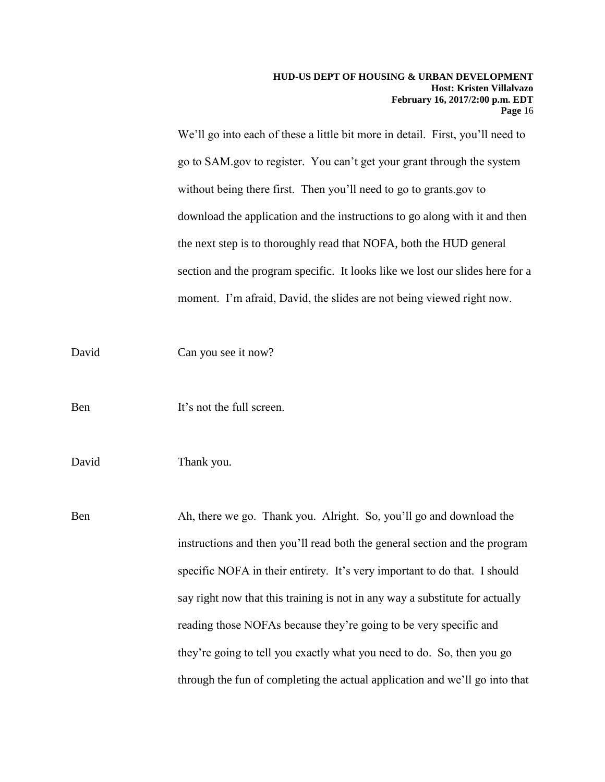We'll go into each of these a little bit more in detail. First, you'll need to go to SAM.gov to register. You can't get your grant through the system without being there first. Then you'll need to go to grants.gov to download the application and the instructions to go along with it and then the next step is to thoroughly read that NOFA, both the HUD general section and the program specific. It looks like we lost our slides here for a moment. I'm afraid, David, the slides are not being viewed right now.

David Can you see it now?

Ben It's not the full screen.

David Thank you.

Ben Ah, there we go. Thank you. Alright. So, you'll go and download the instructions and then you'll read both the general section and the program specific NOFA in their entirety. It's very important to do that. I should say right now that this training is not in any way a substitute for actually reading those NOFAs because they're going to be very specific and they're going to tell you exactly what you need to do. So, then you go through the fun of completing the actual application and we'll go into that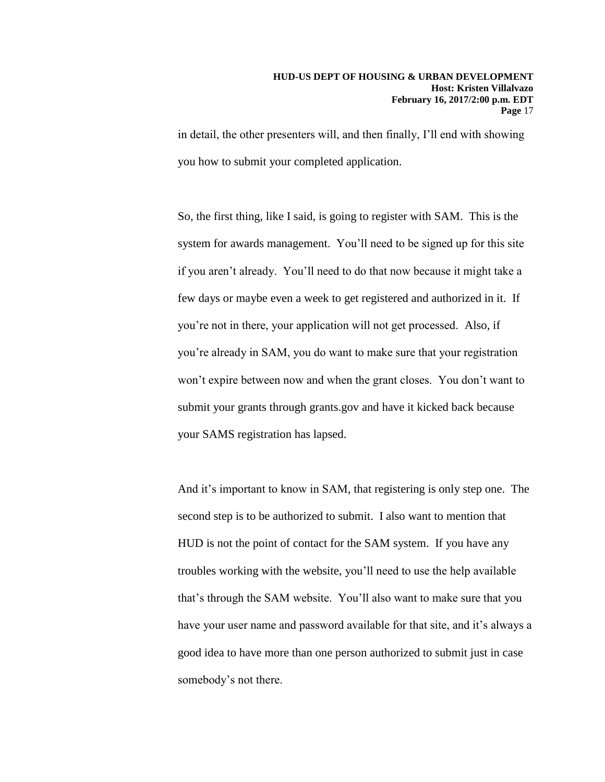in detail, the other presenters will, and then finally, I'll end with showing you how to submit your completed application.

So, the first thing, like I said, is going to register with SAM. This is the system for awards management. You'll need to be signed up for this site if you aren't already. You'll need to do that now because it might take a few days or maybe even a week to get registered and authorized in it. If you're not in there, your application will not get processed. Also, if you're already in SAM, you do want to make sure that your registration won't expire between now and when the grant closes. You don't want to submit your grants through grants.gov and have it kicked back because your SAMS registration has lapsed.

And it's important to know in SAM, that registering is only step one. The second step is to be authorized to submit. I also want to mention that HUD is not the point of contact for the SAM system. If you have any troubles working with the website, you'll need to use the help available that's through the SAM website. You'll also want to make sure that you have your user name and password available for that site, and it's always a good idea to have more than one person authorized to submit just in case somebody's not there.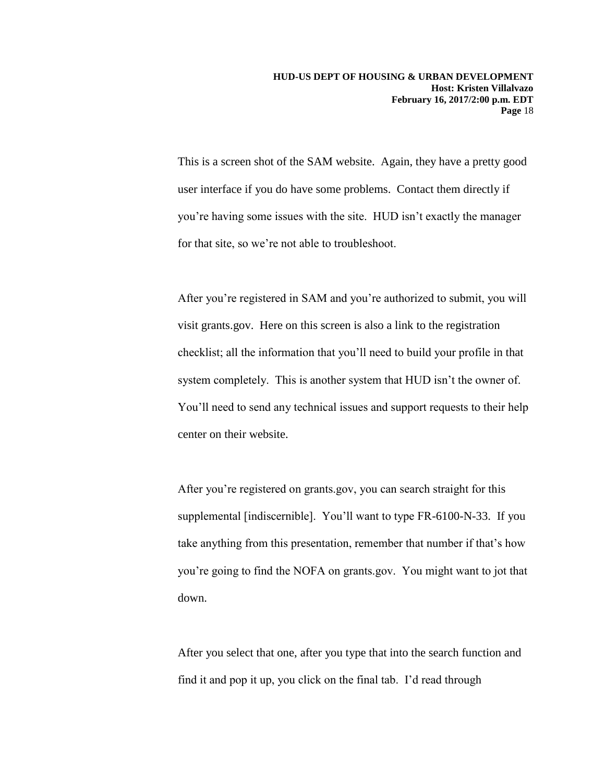This is a screen shot of the SAM website. Again, they have a pretty good user interface if you do have some problems. Contact them directly if you're having some issues with the site. HUD isn't exactly the manager for that site, so we're not able to troubleshoot.

After you're registered in SAM and you're authorized to submit, you will visit grants.gov. Here on this screen is also a link to the registration checklist; all the information that you'll need to build your profile in that system completely. This is another system that HUD isn't the owner of. You'll need to send any technical issues and support requests to their help center on their website.

After you're registered on grants.gov, you can search straight for this supplemental [indiscernible]. You'll want to type FR-6100-N-33. If you take anything from this presentation, remember that number if that's how you're going to find the NOFA on grants.gov. You might want to jot that down.

After you select that one, after you type that into the search function and find it and pop it up, you click on the final tab. I'd read through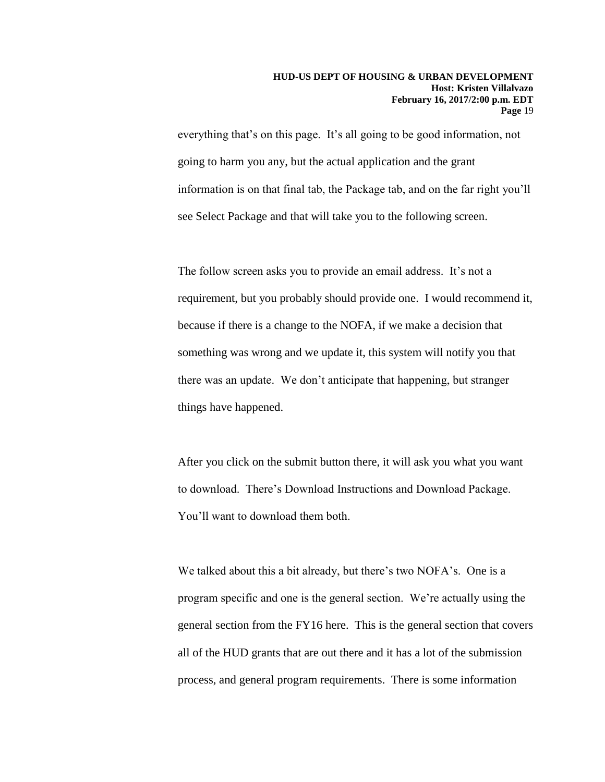everything that's on this page. It's all going to be good information, not going to harm you any, but the actual application and the grant information is on that final tab, the Package tab, and on the far right you'll see Select Package and that will take you to the following screen.

The follow screen asks you to provide an email address. It's not a requirement, but you probably should provide one. I would recommend it, because if there is a change to the NOFA, if we make a decision that something was wrong and we update it, this system will notify you that there was an update. We don't anticipate that happening, but stranger things have happened.

After you click on the submit button there, it will ask you what you want to download. There's Download Instructions and Download Package. You'll want to download them both.

We talked about this a bit already, but there's two NOFA's. One is a program specific and one is the general section. We're actually using the general section from the FY16 here. This is the general section that covers all of the HUD grants that are out there and it has a lot of the submission process, and general program requirements. There is some information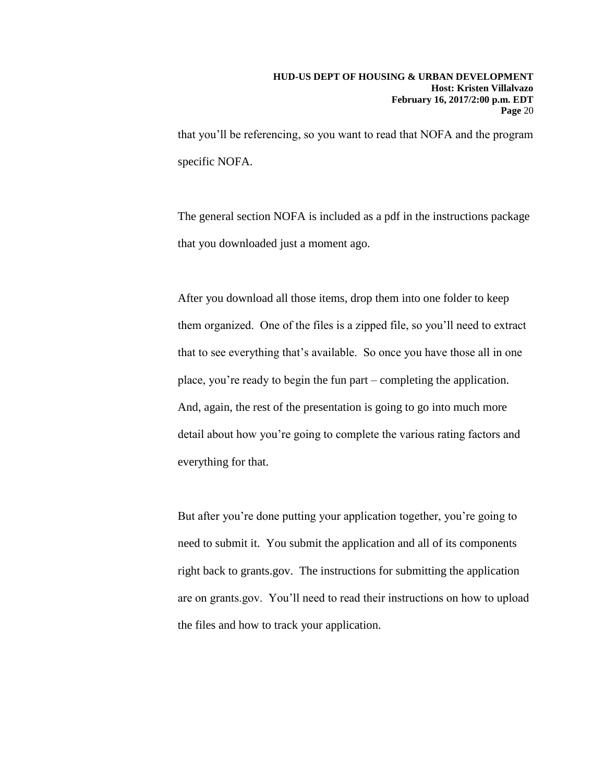that you'll be referencing, so you want to read that NOFA and the program specific NOFA.

The general section NOFA is included as a pdf in the instructions package that you downloaded just a moment ago.

After you download all those items, drop them into one folder to keep them organized. One of the files is a zipped file, so you'll need to extract that to see everything that's available. So once you have those all in one place, you're ready to begin the fun part – completing the application. And, again, the rest of the presentation is going to go into much more detail about how you're going to complete the various rating factors and everything for that.

But after you're done putting your application together, you're going to need to submit it. You submit the application and all of its components right back to grants.gov. The instructions for submitting the application are on grants.gov. You'll need to read their instructions on how to upload the files and how to track your application.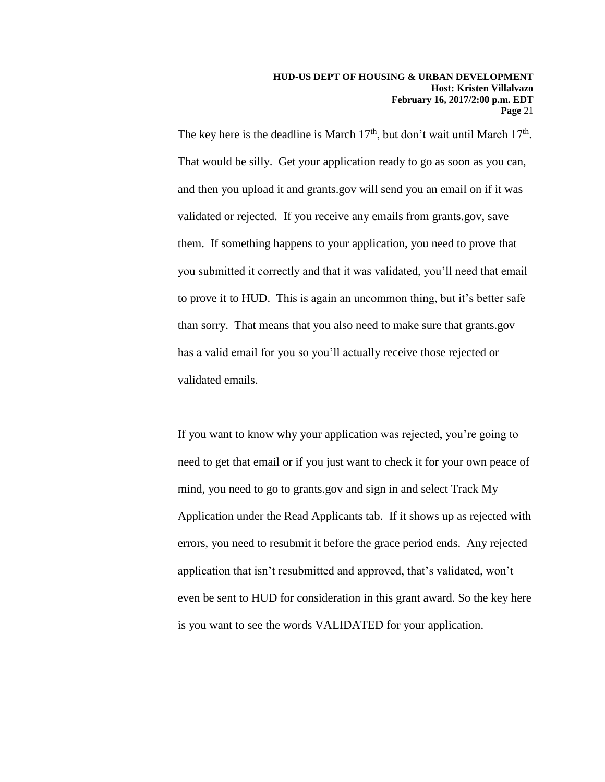The key here is the deadline is March  $17<sup>th</sup>$ , but don't wait until March  $17<sup>th</sup>$ . That would be silly. Get your application ready to go as soon as you can, and then you upload it and grants.gov will send you an email on if it was validated or rejected. If you receive any emails from grants.gov, save them. If something happens to your application, you need to prove that you submitted it correctly and that it was validated, you'll need that email to prove it to HUD. This is again an uncommon thing, but it's better safe than sorry. That means that you also need to make sure that grants.gov has a valid email for you so you'll actually receive those rejected or validated emails.

If you want to know why your application was rejected, you're going to need to get that email or if you just want to check it for your own peace of mind, you need to go to grants.gov and sign in and select Track My Application under the Read Applicants tab. If it shows up as rejected with errors, you need to resubmit it before the grace period ends. Any rejected application that isn't resubmitted and approved, that's validated, won't even be sent to HUD for consideration in this grant award. So the key here is you want to see the words VALIDATED for your application.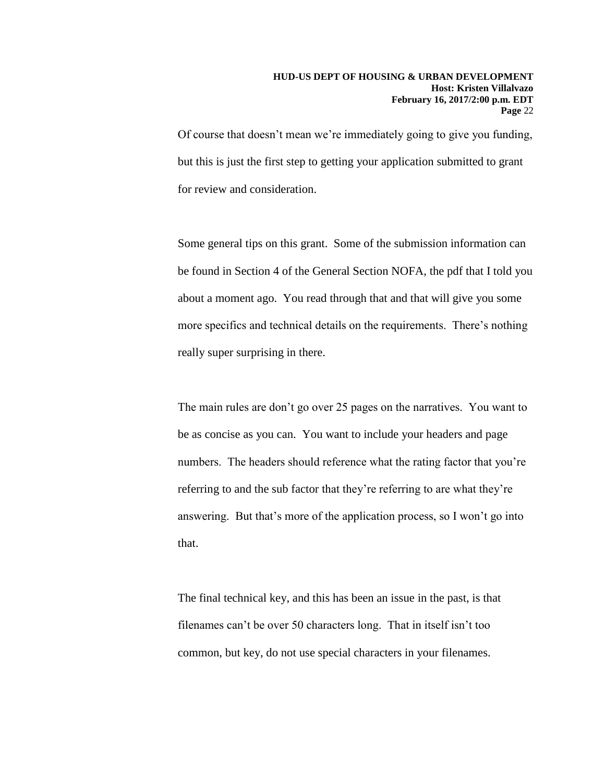Of course that doesn't mean we're immediately going to give you funding, but this is just the first step to getting your application submitted to grant for review and consideration.

Some general tips on this grant. Some of the submission information can be found in Section 4 of the General Section NOFA, the pdf that I told you about a moment ago. You read through that and that will give you some more specifics and technical details on the requirements. There's nothing really super surprising in there.

The main rules are don't go over 25 pages on the narratives. You want to be as concise as you can. You want to include your headers and page numbers. The headers should reference what the rating factor that you're referring to and the sub factor that they're referring to are what they're answering. But that's more of the application process, so I won't go into that.

The final technical key, and this has been an issue in the past, is that filenames can't be over 50 characters long. That in itself isn't too common, but key, do not use special characters in your filenames.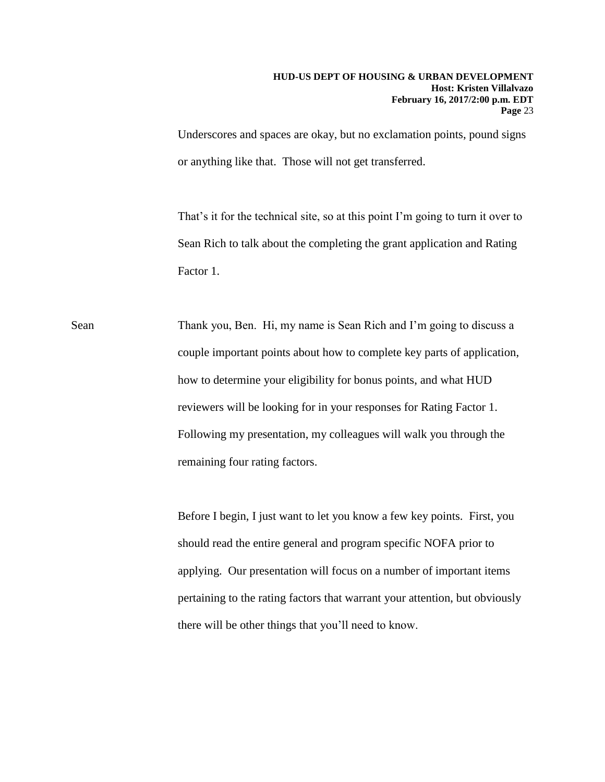Underscores and spaces are okay, but no exclamation points, pound signs or anything like that. Those will not get transferred.

That's it for the technical site, so at this point I'm going to turn it over to Sean Rich to talk about the completing the grant application and Rating Factor 1.

Sean Thank you, Ben. Hi, my name is Sean Rich and I'm going to discuss a couple important points about how to complete key parts of application, how to determine your eligibility for bonus points, and what HUD reviewers will be looking for in your responses for Rating Factor 1. Following my presentation, my colleagues will walk you through the remaining four rating factors.

> Before I begin, I just want to let you know a few key points. First, you should read the entire general and program specific NOFA prior to applying. Our presentation will focus on a number of important items pertaining to the rating factors that warrant your attention, but obviously there will be other things that you'll need to know.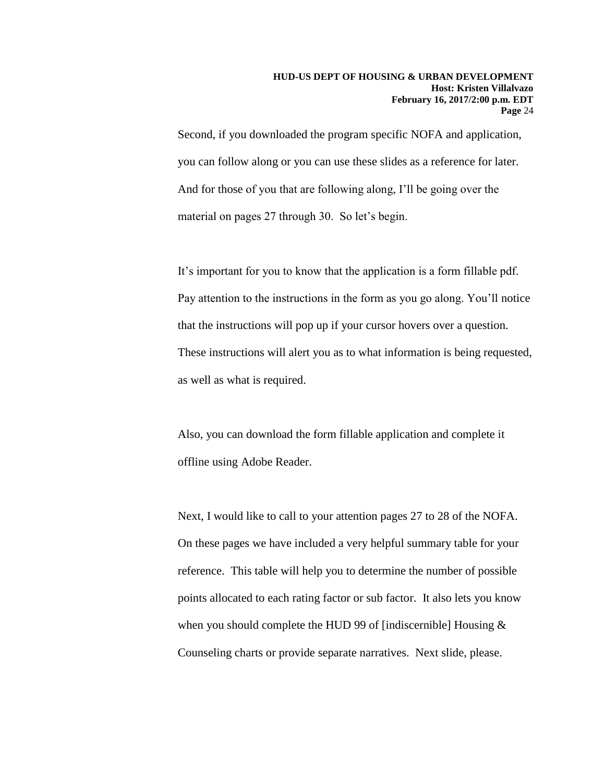Second, if you downloaded the program specific NOFA and application, you can follow along or you can use these slides as a reference for later. And for those of you that are following along, I'll be going over the material on pages 27 through 30. So let's begin.

It's important for you to know that the application is a form fillable pdf. Pay attention to the instructions in the form as you go along. You'll notice that the instructions will pop up if your cursor hovers over a question. These instructions will alert you as to what information is being requested, as well as what is required.

Also, you can download the form fillable application and complete it offline using Adobe Reader.

Next, I would like to call to your attention pages 27 to 28 of the NOFA. On these pages we have included a very helpful summary table for your reference. This table will help you to determine the number of possible points allocated to each rating factor or sub factor. It also lets you know when you should complete the HUD 99 of [indiscernible] Housing & Counseling charts or provide separate narratives. Next slide, please.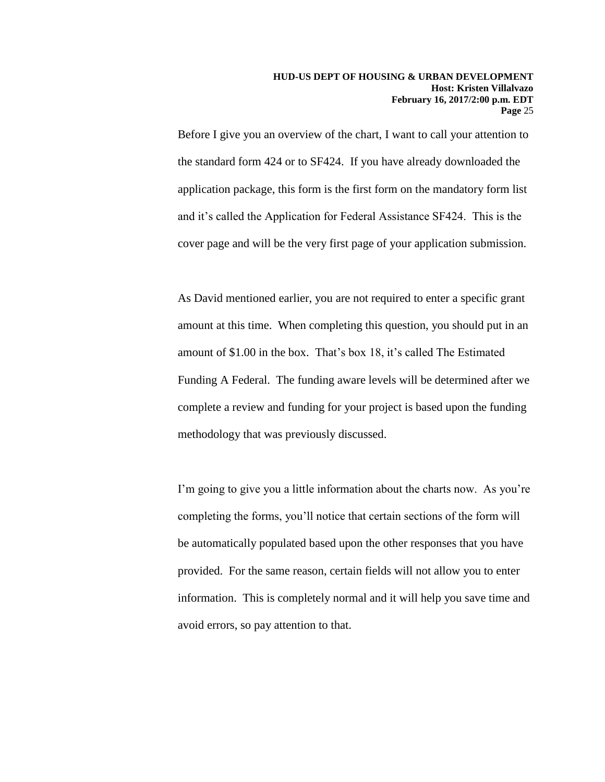Before I give you an overview of the chart, I want to call your attention to the standard form 424 or to SF424. If you have already downloaded the application package, this form is the first form on the mandatory form list and it's called the Application for Federal Assistance SF424. This is the cover page and will be the very first page of your application submission.

As David mentioned earlier, you are not required to enter a specific grant amount at this time. When completing this question, you should put in an amount of \$1.00 in the box. That's box 18, it's called The Estimated Funding A Federal. The funding aware levels will be determined after we complete a review and funding for your project is based upon the funding methodology that was previously discussed.

I'm going to give you a little information about the charts now. As you're completing the forms, you'll notice that certain sections of the form will be automatically populated based upon the other responses that you have provided. For the same reason, certain fields will not allow you to enter information. This is completely normal and it will help you save time and avoid errors, so pay attention to that.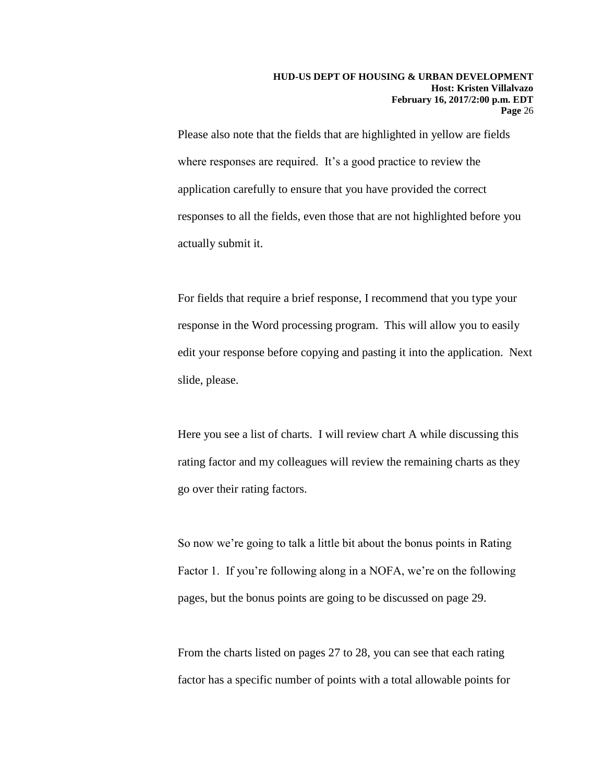Please also note that the fields that are highlighted in yellow are fields where responses are required. It's a good practice to review the application carefully to ensure that you have provided the correct responses to all the fields, even those that are not highlighted before you actually submit it.

For fields that require a brief response, I recommend that you type your response in the Word processing program. This will allow you to easily edit your response before copying and pasting it into the application. Next slide, please.

Here you see a list of charts. I will review chart A while discussing this rating factor and my colleagues will review the remaining charts as they go over their rating factors.

So now we're going to talk a little bit about the bonus points in Rating Factor 1. If you're following along in a NOFA, we're on the following pages, but the bonus points are going to be discussed on page 29.

From the charts listed on pages 27 to 28, you can see that each rating factor has a specific number of points with a total allowable points for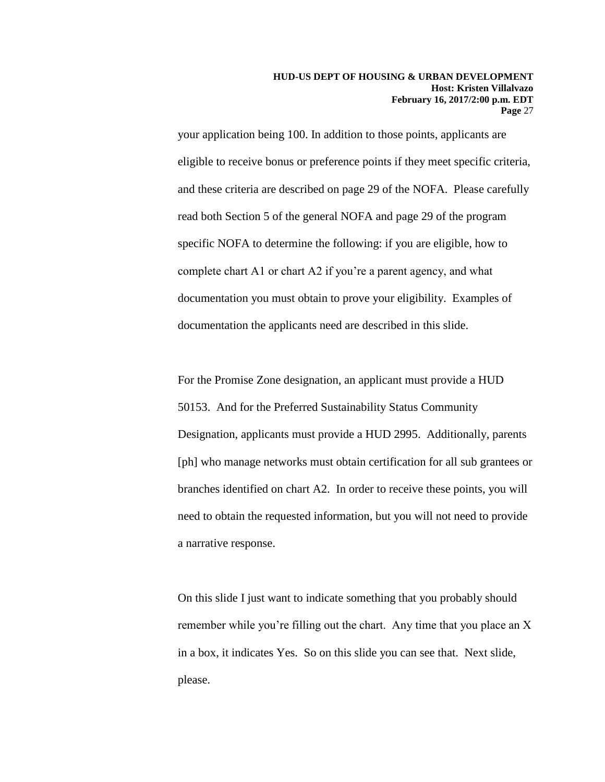your application being 100. In addition to those points, applicants are eligible to receive bonus or preference points if they meet specific criteria, and these criteria are described on page 29 of the NOFA. Please carefully read both Section 5 of the general NOFA and page 29 of the program specific NOFA to determine the following: if you are eligible, how to complete chart A1 or chart A2 if you're a parent agency, and what documentation you must obtain to prove your eligibility. Examples of documentation the applicants need are described in this slide.

For the Promise Zone designation, an applicant must provide a HUD 50153. And for the Preferred Sustainability Status Community Designation, applicants must provide a HUD 2995. Additionally, parents [ph] who manage networks must obtain certification for all sub grantees or branches identified on chart A2. In order to receive these points, you will need to obtain the requested information, but you will not need to provide a narrative response.

On this slide I just want to indicate something that you probably should remember while you're filling out the chart. Any time that you place an X in a box, it indicates Yes. So on this slide you can see that. Next slide, please.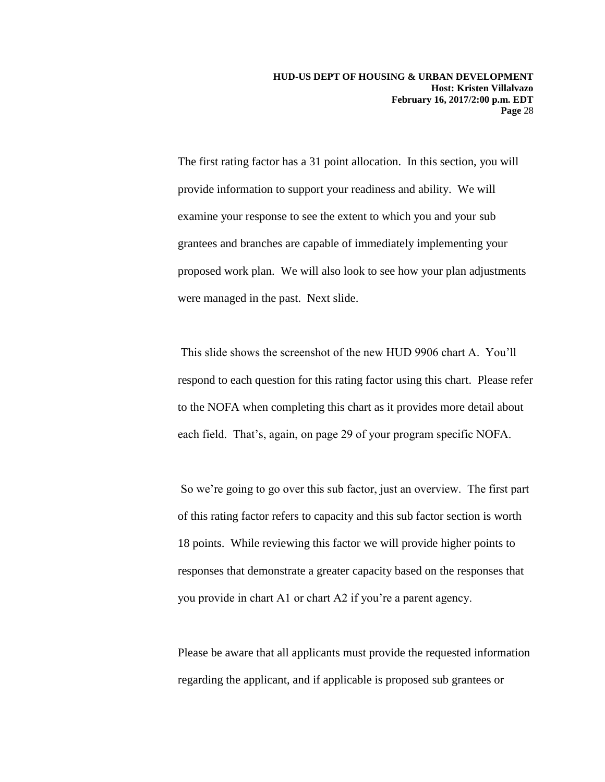The first rating factor has a 31 point allocation. In this section, you will provide information to support your readiness and ability. We will examine your response to see the extent to which you and your sub grantees and branches are capable of immediately implementing your proposed work plan. We will also look to see how your plan adjustments were managed in the past. Next slide.

This slide shows the screenshot of the new HUD 9906 chart A. You'll respond to each question for this rating factor using this chart. Please refer to the NOFA when completing this chart as it provides more detail about each field. That's, again, on page 29 of your program specific NOFA.

So we're going to go over this sub factor, just an overview. The first part of this rating factor refers to capacity and this sub factor section is worth 18 points. While reviewing this factor we will provide higher points to responses that demonstrate a greater capacity based on the responses that you provide in chart A1 or chart A2 if you're a parent agency.

Please be aware that all applicants must provide the requested information regarding the applicant, and if applicable is proposed sub grantees or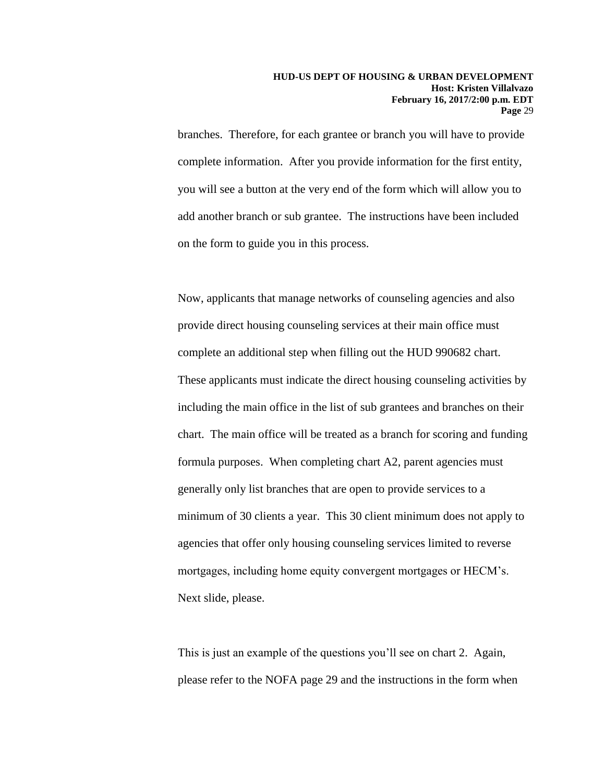branches. Therefore, for each grantee or branch you will have to provide complete information. After you provide information for the first entity, you will see a button at the very end of the form which will allow you to add another branch or sub grantee. The instructions have been included on the form to guide you in this process.

Now, applicants that manage networks of counseling agencies and also provide direct housing counseling services at their main office must complete an additional step when filling out the HUD 990682 chart. These applicants must indicate the direct housing counseling activities by including the main office in the list of sub grantees and branches on their chart. The main office will be treated as a branch for scoring and funding formula purposes. When completing chart A2, parent agencies must generally only list branches that are open to provide services to a minimum of 30 clients a year. This 30 client minimum does not apply to agencies that offer only housing counseling services limited to reverse mortgages, including home equity convergent mortgages or HECM's. Next slide, please.

This is just an example of the questions you'll see on chart 2. Again, please refer to the NOFA page 29 and the instructions in the form when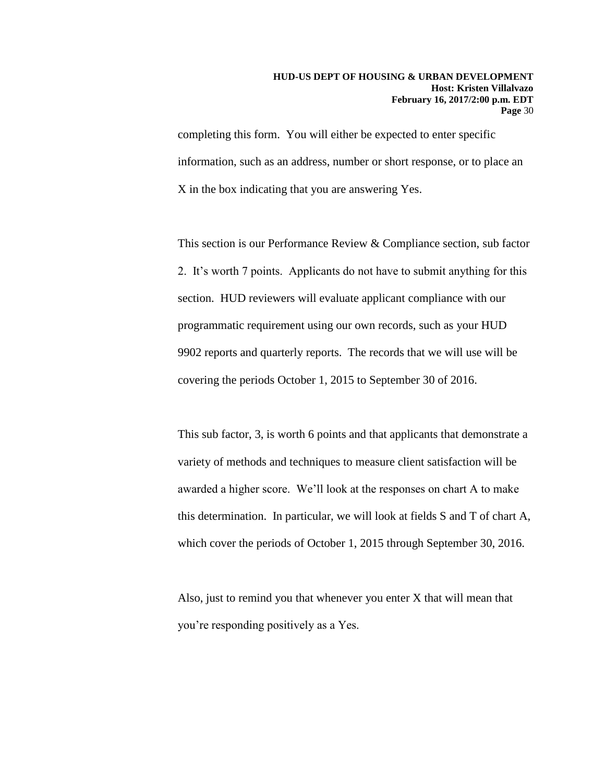completing this form. You will either be expected to enter specific information, such as an address, number or short response, or to place an X in the box indicating that you are answering Yes.

This section is our Performance Review & Compliance section, sub factor 2. It's worth 7 points. Applicants do not have to submit anything for this section. HUD reviewers will evaluate applicant compliance with our programmatic requirement using our own records, such as your HUD 9902 reports and quarterly reports. The records that we will use will be covering the periods October 1, 2015 to September 30 of 2016.

This sub factor, 3, is worth 6 points and that applicants that demonstrate a variety of methods and techniques to measure client satisfaction will be awarded a higher score. We'll look at the responses on chart A to make this determination. In particular, we will look at fields S and T of chart A, which cover the periods of October 1, 2015 through September 30, 2016.

Also, just to remind you that whenever you enter X that will mean that you're responding positively as a Yes.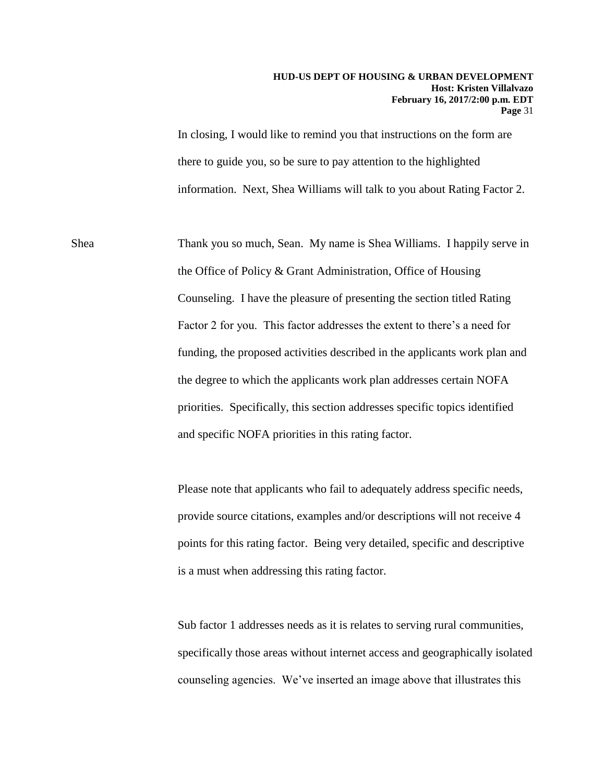In closing, I would like to remind you that instructions on the form are there to guide you, so be sure to pay attention to the highlighted information. Next, Shea Williams will talk to you about Rating Factor 2.

Shea Thank you so much, Sean. My name is Shea Williams. I happily serve in the Office of Policy & Grant Administration, Office of Housing Counseling. I have the pleasure of presenting the section titled Rating Factor 2 for you. This factor addresses the extent to there's a need for funding, the proposed activities described in the applicants work plan and the degree to which the applicants work plan addresses certain NOFA priorities. Specifically, this section addresses specific topics identified and specific NOFA priorities in this rating factor.

> Please note that applicants who fail to adequately address specific needs, provide source citations, examples and/or descriptions will not receive 4 points for this rating factor. Being very detailed, specific and descriptive is a must when addressing this rating factor.

Sub factor 1 addresses needs as it is relates to serving rural communities, specifically those areas without internet access and geographically isolated counseling agencies. We've inserted an image above that illustrates this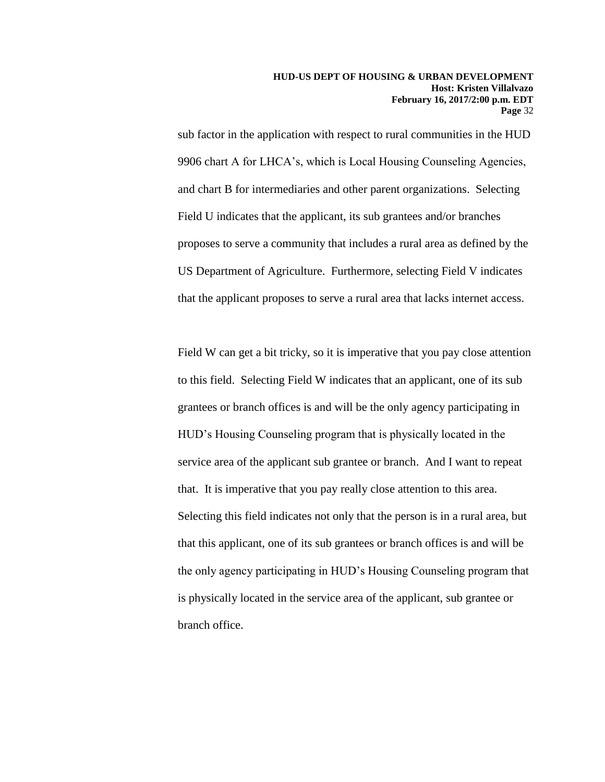sub factor in the application with respect to rural communities in the HUD 9906 chart A for LHCA's, which is Local Housing Counseling Agencies, and chart B for intermediaries and other parent organizations. Selecting Field U indicates that the applicant, its sub grantees and/or branches proposes to serve a community that includes a rural area as defined by the US Department of Agriculture. Furthermore, selecting Field V indicates that the applicant proposes to serve a rural area that lacks internet access.

Field W can get a bit tricky, so it is imperative that you pay close attention to this field. Selecting Field W indicates that an applicant, one of its sub grantees or branch offices is and will be the only agency participating in HUD's Housing Counseling program that is physically located in the service area of the applicant sub grantee or branch. And I want to repeat that. It is imperative that you pay really close attention to this area. Selecting this field indicates not only that the person is in a rural area, but that this applicant, one of its sub grantees or branch offices is and will be the only agency participating in HUD's Housing Counseling program that is physically located in the service area of the applicant, sub grantee or branch office.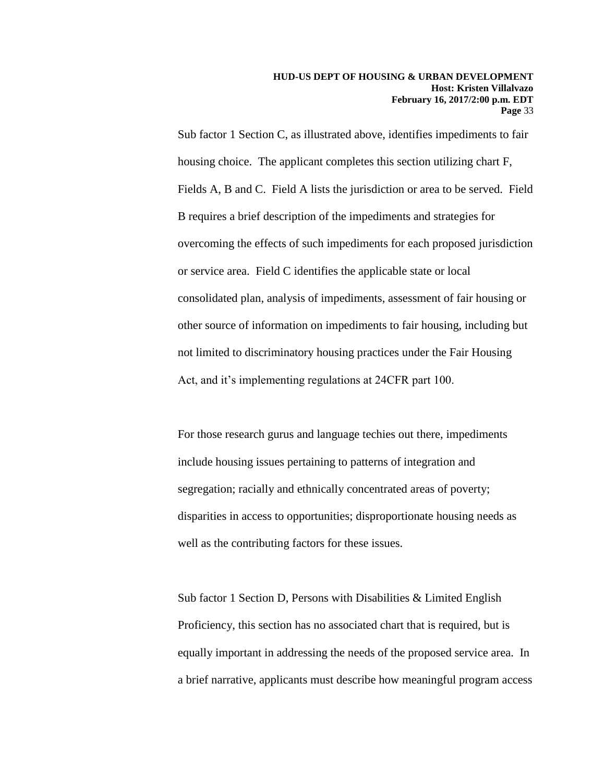Sub factor 1 Section C, as illustrated above, identifies impediments to fair housing choice. The applicant completes this section utilizing chart F, Fields A, B and C. Field A lists the jurisdiction or area to be served. Field B requires a brief description of the impediments and strategies for overcoming the effects of such impediments for each proposed jurisdiction or service area. Field C identifies the applicable state or local consolidated plan, analysis of impediments, assessment of fair housing or other source of information on impediments to fair housing, including but not limited to discriminatory housing practices under the Fair Housing Act, and it's implementing regulations at 24CFR part 100.

For those research gurus and language techies out there, impediments include housing issues pertaining to patterns of integration and segregation; racially and ethnically concentrated areas of poverty; disparities in access to opportunities; disproportionate housing needs as well as the contributing factors for these issues.

Sub factor 1 Section D, Persons with Disabilities & Limited English Proficiency, this section has no associated chart that is required, but is equally important in addressing the needs of the proposed service area. In a brief narrative, applicants must describe how meaningful program access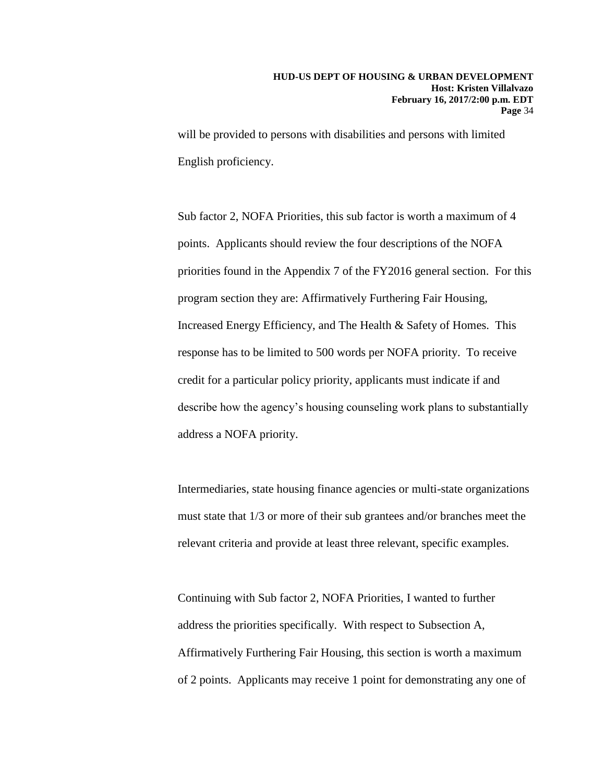will be provided to persons with disabilities and persons with limited English proficiency.

Sub factor 2, NOFA Priorities, this sub factor is worth a maximum of 4 points. Applicants should review the four descriptions of the NOFA priorities found in the Appendix 7 of the FY2016 general section. For this program section they are: Affirmatively Furthering Fair Housing, Increased Energy Efficiency, and The Health & Safety of Homes. This response has to be limited to 500 words per NOFA priority. To receive credit for a particular policy priority, applicants must indicate if and describe how the agency's housing counseling work plans to substantially address a NOFA priority.

Intermediaries, state housing finance agencies or multi-state organizations must state that 1/3 or more of their sub grantees and/or branches meet the relevant criteria and provide at least three relevant, specific examples.

Continuing with Sub factor 2, NOFA Priorities, I wanted to further address the priorities specifically. With respect to Subsection A, Affirmatively Furthering Fair Housing, this section is worth a maximum of 2 points. Applicants may receive 1 point for demonstrating any one of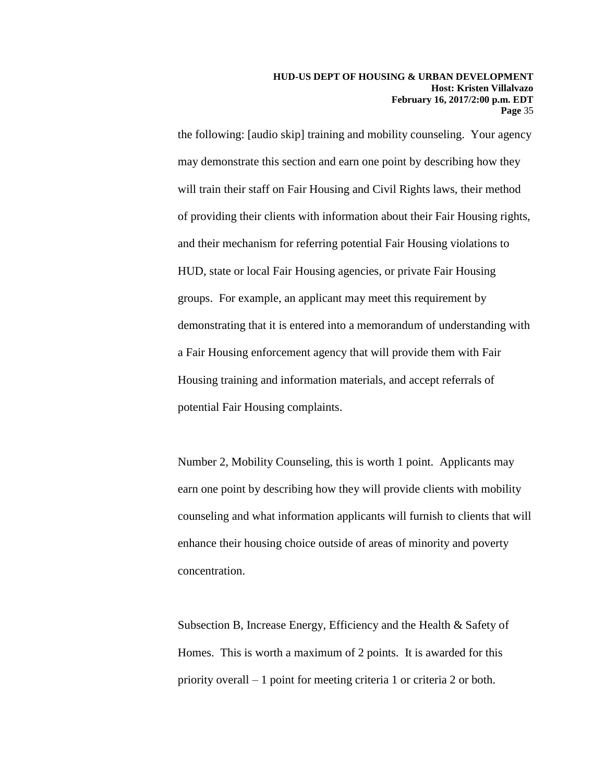the following: [audio skip] training and mobility counseling. Your agency may demonstrate this section and earn one point by describing how they will train their staff on Fair Housing and Civil Rights laws, their method of providing their clients with information about their Fair Housing rights, and their mechanism for referring potential Fair Housing violations to HUD, state or local Fair Housing agencies, or private Fair Housing groups. For example, an applicant may meet this requirement by demonstrating that it is entered into a memorandum of understanding with a Fair Housing enforcement agency that will provide them with Fair Housing training and information materials, and accept referrals of potential Fair Housing complaints.

Number 2, Mobility Counseling, this is worth 1 point. Applicants may earn one point by describing how they will provide clients with mobility counseling and what information applicants will furnish to clients that will enhance their housing choice outside of areas of minority and poverty concentration.

Subsection B, Increase Energy, Efficiency and the Health & Safety of Homes. This is worth a maximum of 2 points. It is awarded for this priority overall – 1 point for meeting criteria 1 or criteria 2 or both.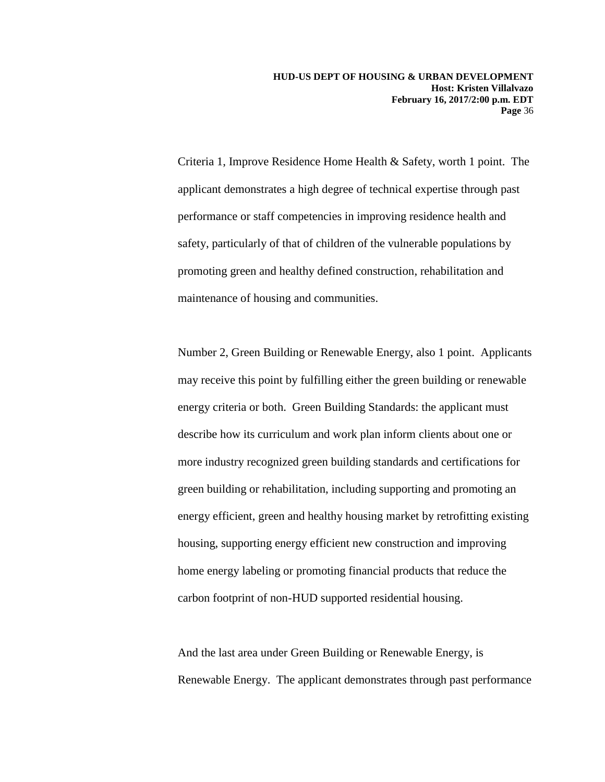Criteria 1, Improve Residence Home Health & Safety, worth 1 point. The applicant demonstrates a high degree of technical expertise through past performance or staff competencies in improving residence health and safety, particularly of that of children of the vulnerable populations by promoting green and healthy defined construction, rehabilitation and maintenance of housing and communities.

Number 2, Green Building or Renewable Energy, also 1 point. Applicants may receive this point by fulfilling either the green building or renewable energy criteria or both. Green Building Standards: the applicant must describe how its curriculum and work plan inform clients about one or more industry recognized green building standards and certifications for green building or rehabilitation, including supporting and promoting an energy efficient, green and healthy housing market by retrofitting existing housing, supporting energy efficient new construction and improving home energy labeling or promoting financial products that reduce the carbon footprint of non-HUD supported residential housing.

And the last area under Green Building or Renewable Energy, is Renewable Energy. The applicant demonstrates through past performance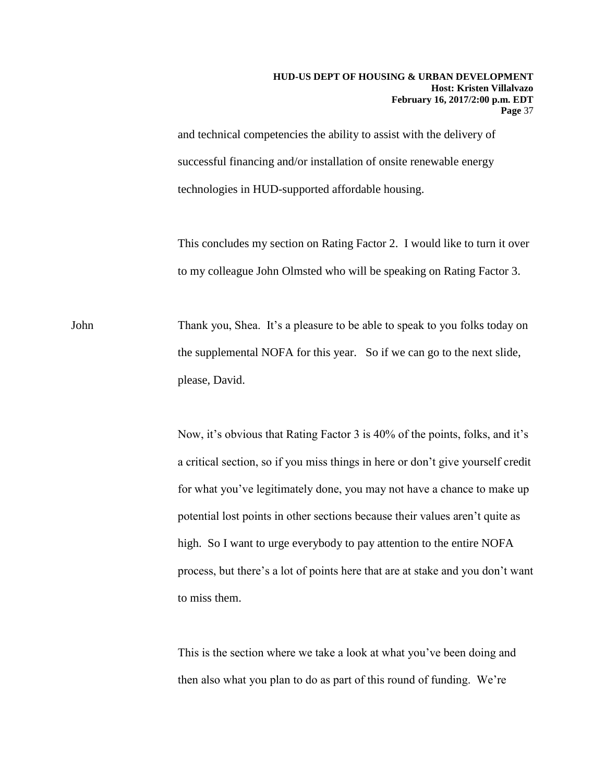and technical competencies the ability to assist with the delivery of successful financing and/or installation of onsite renewable energy technologies in HUD-supported affordable housing.

This concludes my section on Rating Factor 2. I would like to turn it over to my colleague John Olmsted who will be speaking on Rating Factor 3.

John Thank you, Shea. It's a pleasure to be able to speak to you folks today on the supplemental NOFA for this year. So if we can go to the next slide, please, David.

> Now, it's obvious that Rating Factor 3 is 40% of the points, folks, and it's a critical section, so if you miss things in here or don't give yourself credit for what you've legitimately done, you may not have a chance to make up potential lost points in other sections because their values aren't quite as high. So I want to urge everybody to pay attention to the entire NOFA process, but there's a lot of points here that are at stake and you don't want to miss them.

This is the section where we take a look at what you've been doing and then also what you plan to do as part of this round of funding. We're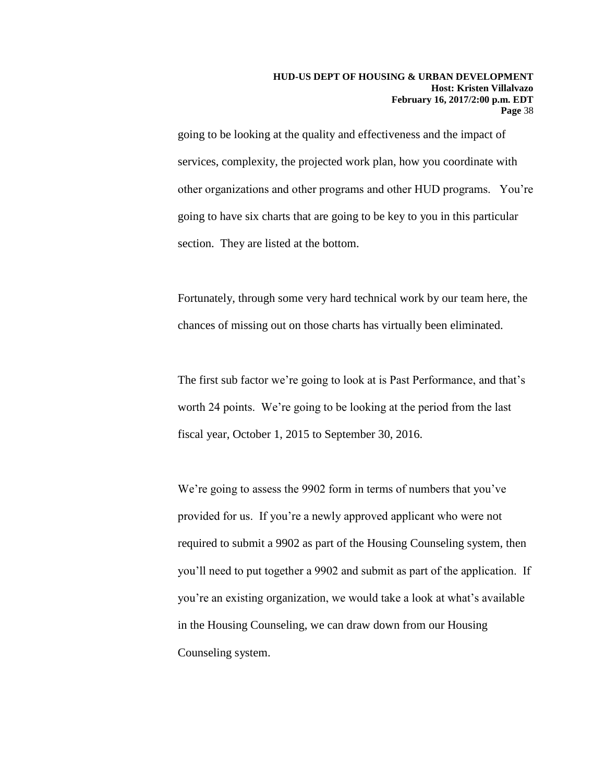going to be looking at the quality and effectiveness and the impact of services, complexity, the projected work plan, how you coordinate with other organizations and other programs and other HUD programs. You're going to have six charts that are going to be key to you in this particular section. They are listed at the bottom.

Fortunately, through some very hard technical work by our team here, the chances of missing out on those charts has virtually been eliminated.

The first sub factor we're going to look at is Past Performance, and that's worth 24 points. We're going to be looking at the period from the last fiscal year, October 1, 2015 to September 30, 2016.

We're going to assess the 9902 form in terms of numbers that you've provided for us. If you're a newly approved applicant who were not required to submit a 9902 as part of the Housing Counseling system, then you'll need to put together a 9902 and submit as part of the application. If you're an existing organization, we would take a look at what's available in the Housing Counseling, we can draw down from our Housing Counseling system.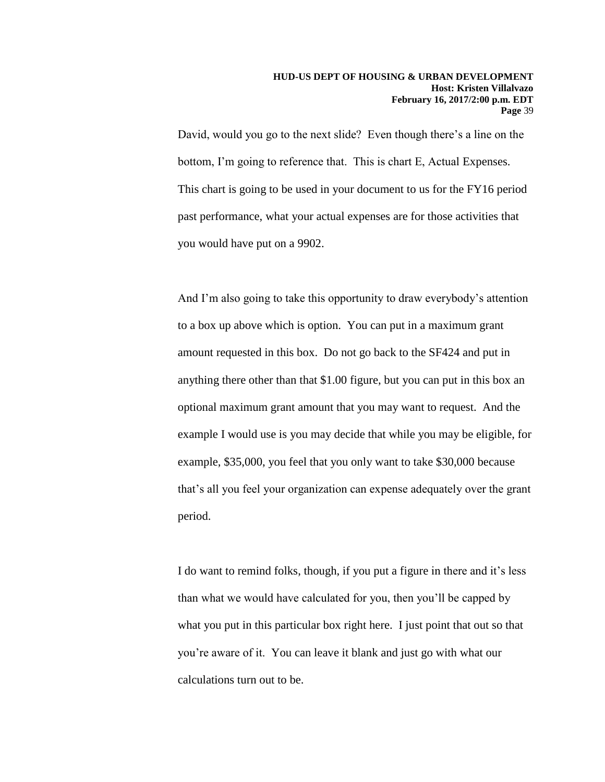David, would you go to the next slide? Even though there's a line on the bottom, I'm going to reference that. This is chart E, Actual Expenses. This chart is going to be used in your document to us for the FY16 period past performance, what your actual expenses are for those activities that you would have put on a 9902.

And I'm also going to take this opportunity to draw everybody's attention to a box up above which is option. You can put in a maximum grant amount requested in this box. Do not go back to the SF424 and put in anything there other than that \$1.00 figure, but you can put in this box an optional maximum grant amount that you may want to request. And the example I would use is you may decide that while you may be eligible, for example, \$35,000, you feel that you only want to take \$30,000 because that's all you feel your organization can expense adequately over the grant period.

I do want to remind folks, though, if you put a figure in there and it's less than what we would have calculated for you, then you'll be capped by what you put in this particular box right here. I just point that out so that you're aware of it. You can leave it blank and just go with what our calculations turn out to be.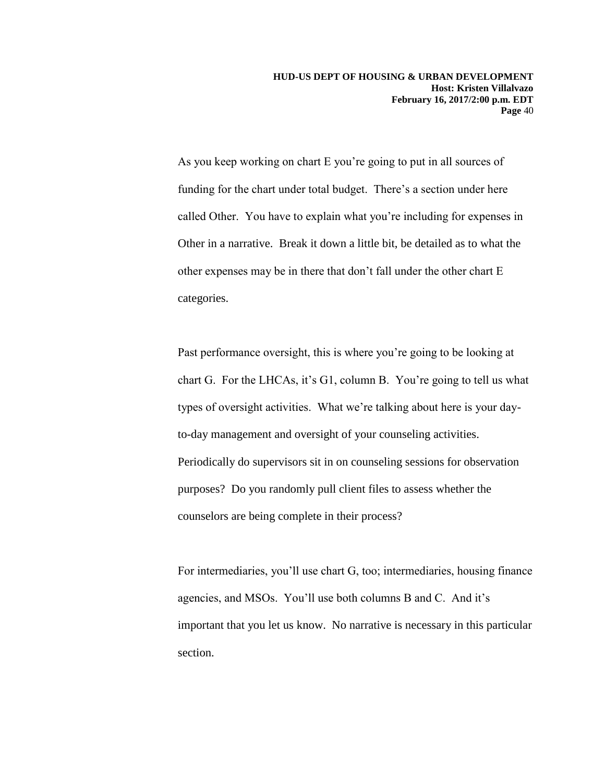As you keep working on chart E you're going to put in all sources of funding for the chart under total budget. There's a section under here called Other. You have to explain what you're including for expenses in Other in a narrative. Break it down a little bit, be detailed as to what the other expenses may be in there that don't fall under the other chart E categories.

Past performance oversight, this is where you're going to be looking at chart G. For the LHCAs, it's G1, column B. You're going to tell us what types of oversight activities. What we're talking about here is your dayto-day management and oversight of your counseling activities. Periodically do supervisors sit in on counseling sessions for observation purposes? Do you randomly pull client files to assess whether the counselors are being complete in their process?

For intermediaries, you'll use chart G, too; intermediaries, housing finance agencies, and MSOs. You'll use both columns B and C. And it's important that you let us know. No narrative is necessary in this particular section.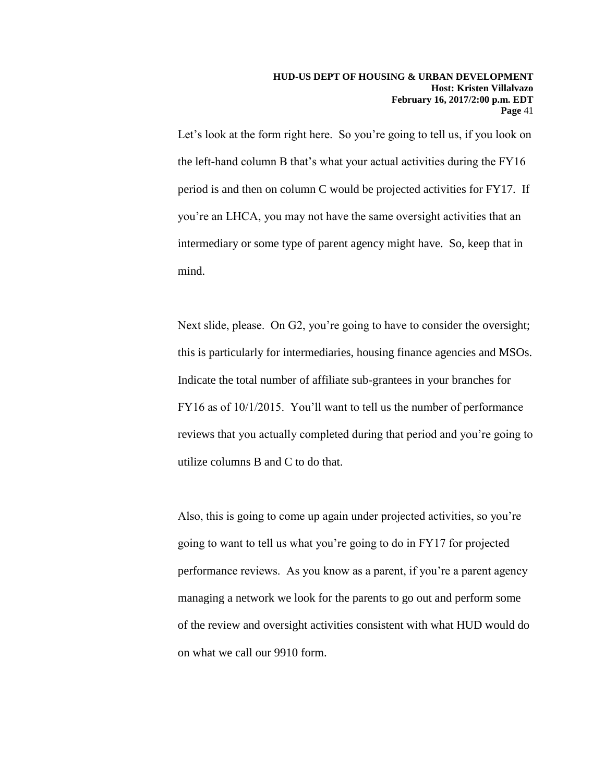Let's look at the form right here. So you're going to tell us, if you look on the left-hand column B that's what your actual activities during the FY16 period is and then on column C would be projected activities for FY17. If you're an LHCA, you may not have the same oversight activities that an intermediary or some type of parent agency might have. So, keep that in mind.

Next slide, please. On G2, you're going to have to consider the oversight; this is particularly for intermediaries, housing finance agencies and MSOs. Indicate the total number of affiliate sub-grantees in your branches for FY16 as of 10/1/2015. You'll want to tell us the number of performance reviews that you actually completed during that period and you're going to utilize columns B and C to do that.

Also, this is going to come up again under projected activities, so you're going to want to tell us what you're going to do in FY17 for projected performance reviews. As you know as a parent, if you're a parent agency managing a network we look for the parents to go out and perform some of the review and oversight activities consistent with what HUD would do on what we call our 9910 form.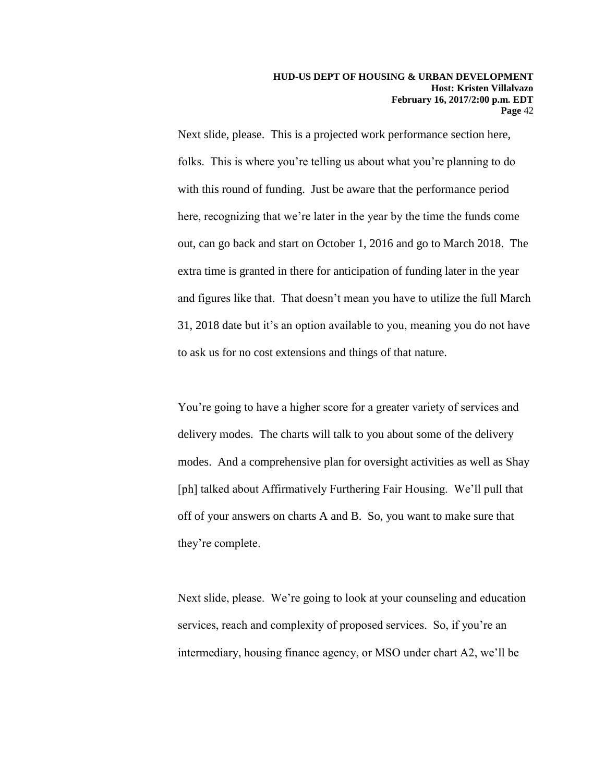Next slide, please. This is a projected work performance section here, folks. This is where you're telling us about what you're planning to do with this round of funding. Just be aware that the performance period here, recognizing that we're later in the year by the time the funds come out, can go back and start on October 1, 2016 and go to March 2018. The extra time is granted in there for anticipation of funding later in the year and figures like that. That doesn't mean you have to utilize the full March 31, 2018 date but it's an option available to you, meaning you do not have to ask us for no cost extensions and things of that nature.

You're going to have a higher score for a greater variety of services and delivery modes. The charts will talk to you about some of the delivery modes. And a comprehensive plan for oversight activities as well as Shay [ph] talked about Affirmatively Furthering Fair Housing. We'll pull that off of your answers on charts A and B. So, you want to make sure that they're complete.

Next slide, please. We're going to look at your counseling and education services, reach and complexity of proposed services. So, if you're an intermediary, housing finance agency, or MSO under chart A2, we'll be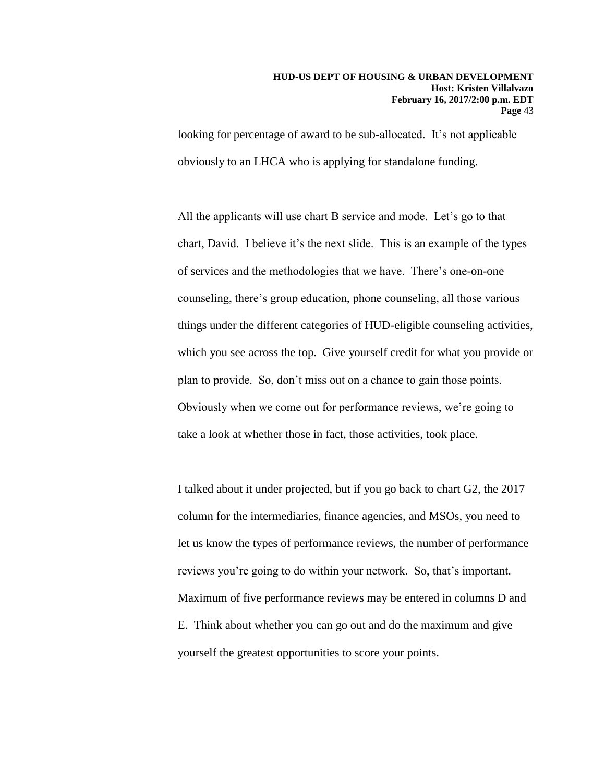looking for percentage of award to be sub-allocated. It's not applicable obviously to an LHCA who is applying for standalone funding.

All the applicants will use chart B service and mode. Let's go to that chart, David. I believe it's the next slide. This is an example of the types of services and the methodologies that we have. There's one-on-one counseling, there's group education, phone counseling, all those various things under the different categories of HUD-eligible counseling activities, which you see across the top. Give yourself credit for what you provide or plan to provide. So, don't miss out on a chance to gain those points. Obviously when we come out for performance reviews, we're going to take a look at whether those in fact, those activities, took place.

I talked about it under projected, but if you go back to chart G2, the 2017 column for the intermediaries, finance agencies, and MSOs, you need to let us know the types of performance reviews, the number of performance reviews you're going to do within your network. So, that's important. Maximum of five performance reviews may be entered in columns D and E. Think about whether you can go out and do the maximum and give yourself the greatest opportunities to score your points.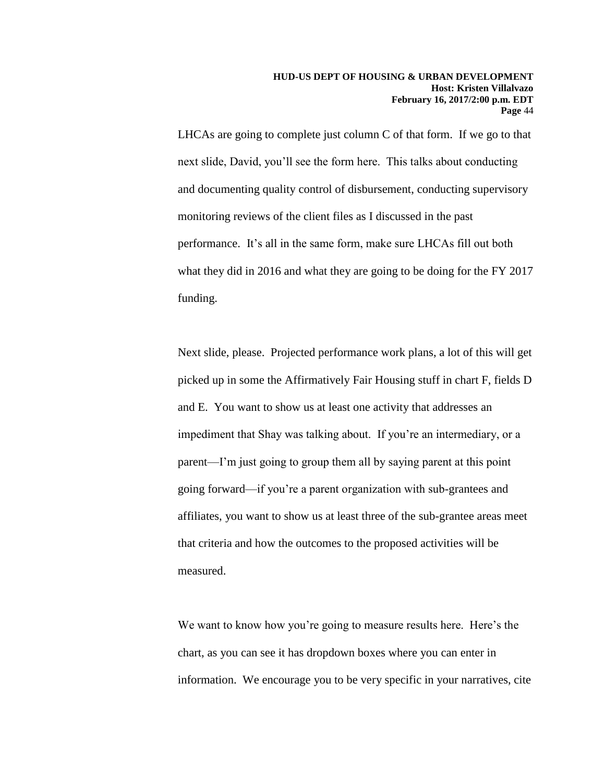LHCAs are going to complete just column C of that form. If we go to that next slide, David, you'll see the form here. This talks about conducting and documenting quality control of disbursement, conducting supervisory monitoring reviews of the client files as I discussed in the past performance. It's all in the same form, make sure LHCAs fill out both what they did in 2016 and what they are going to be doing for the FY 2017 funding.

Next slide, please. Projected performance work plans, a lot of this will get picked up in some the Affirmatively Fair Housing stuff in chart F, fields D and E. You want to show us at least one activity that addresses an impediment that Shay was talking about. If you're an intermediary, or a parent—I'm just going to group them all by saying parent at this point going forward—if you're a parent organization with sub-grantees and affiliates, you want to show us at least three of the sub-grantee areas meet that criteria and how the outcomes to the proposed activities will be measured.

We want to know how you're going to measure results here. Here's the chart, as you can see it has dropdown boxes where you can enter in information. We encourage you to be very specific in your narratives, cite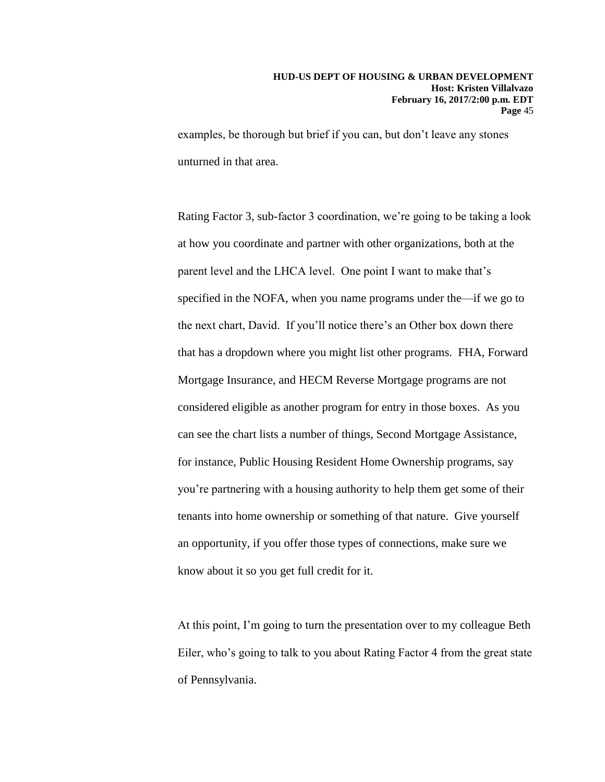examples, be thorough but brief if you can, but don't leave any stones unturned in that area.

Rating Factor 3, sub-factor 3 coordination, we're going to be taking a look at how you coordinate and partner with other organizations, both at the parent level and the LHCA level. One point I want to make that's specified in the NOFA, when you name programs under the—if we go to the next chart, David. If you'll notice there's an Other box down there that has a dropdown where you might list other programs. FHA, Forward Mortgage Insurance, and HECM Reverse Mortgage programs are not considered eligible as another program for entry in those boxes. As you can see the chart lists a number of things, Second Mortgage Assistance, for instance, Public Housing Resident Home Ownership programs, say you're partnering with a housing authority to help them get some of their tenants into home ownership or something of that nature. Give yourself an opportunity, if you offer those types of connections, make sure we know about it so you get full credit for it.

At this point, I'm going to turn the presentation over to my colleague Beth Eiler, who's going to talk to you about Rating Factor 4 from the great state of Pennsylvania.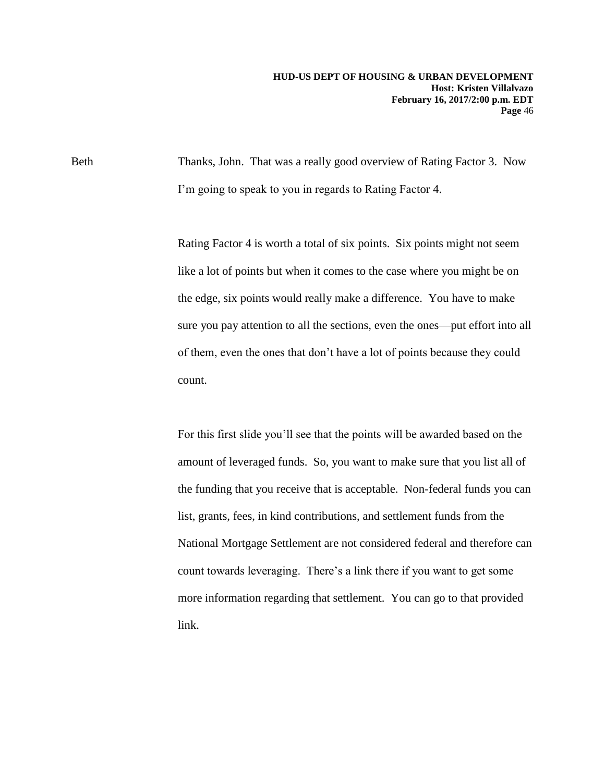Beth Thanks, John. That was a really good overview of Rating Factor 3. Now I'm going to speak to you in regards to Rating Factor 4.

> Rating Factor 4 is worth a total of six points. Six points might not seem like a lot of points but when it comes to the case where you might be on the edge, six points would really make a difference. You have to make sure you pay attention to all the sections, even the ones—put effort into all of them, even the ones that don't have a lot of points because they could count.

> For this first slide you'll see that the points will be awarded based on the amount of leveraged funds. So, you want to make sure that you list all of the funding that you receive that is acceptable. Non-federal funds you can list, grants, fees, in kind contributions, and settlement funds from the National Mortgage Settlement are not considered federal and therefore can count towards leveraging. There's a link there if you want to get some more information regarding that settlement. You can go to that provided link.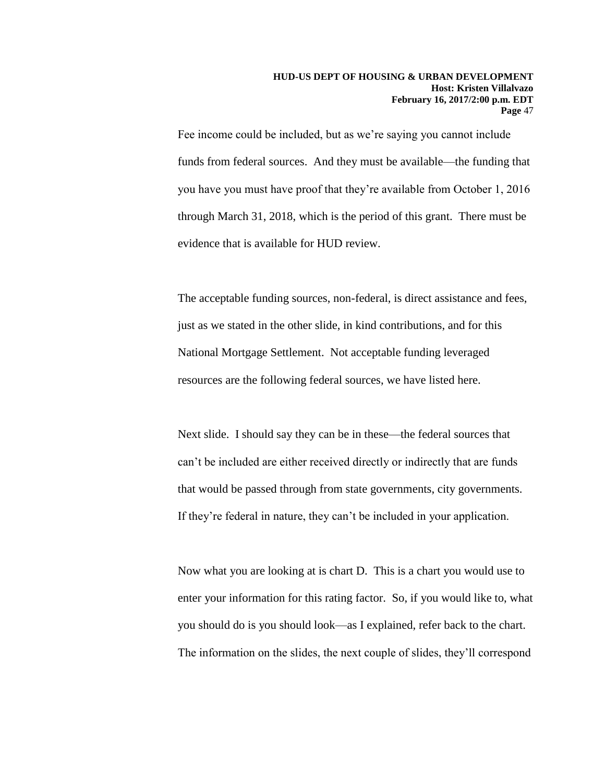Fee income could be included, but as we're saying you cannot include funds from federal sources. And they must be available—the funding that you have you must have proof that they're available from October 1, 2016 through March 31, 2018, which is the period of this grant. There must be evidence that is available for HUD review.

The acceptable funding sources, non-federal, is direct assistance and fees, just as we stated in the other slide, in kind contributions, and for this National Mortgage Settlement. Not acceptable funding leveraged resources are the following federal sources, we have listed here.

Next slide. I should say they can be in these—the federal sources that can't be included are either received directly or indirectly that are funds that would be passed through from state governments, city governments. If they're federal in nature, they can't be included in your application.

Now what you are looking at is chart D. This is a chart you would use to enter your information for this rating factor. So, if you would like to, what you should do is you should look—as I explained, refer back to the chart. The information on the slides, the next couple of slides, they'll correspond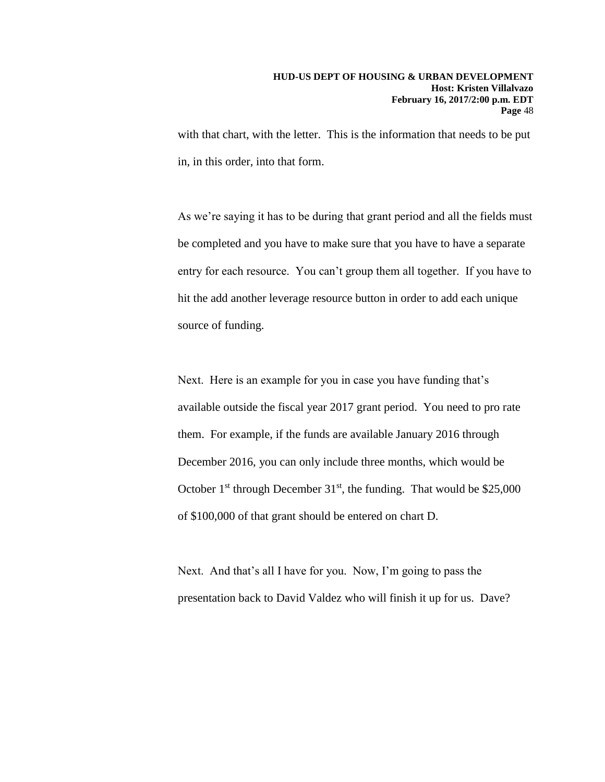with that chart, with the letter. This is the information that needs to be put in, in this order, into that form.

As we're saying it has to be during that grant period and all the fields must be completed and you have to make sure that you have to have a separate entry for each resource. You can't group them all together. If you have to hit the add another leverage resource button in order to add each unique source of funding.

Next. Here is an example for you in case you have funding that's available outside the fiscal year 2017 grant period. You need to pro rate them. For example, if the funds are available January 2016 through December 2016, you can only include three months, which would be October  $1<sup>st</sup>$  through December  $31<sup>st</sup>$ , the funding. That would be \$25,000 of \$100,000 of that grant should be entered on chart D.

Next. And that's all I have for you. Now, I'm going to pass the presentation back to David Valdez who will finish it up for us. Dave?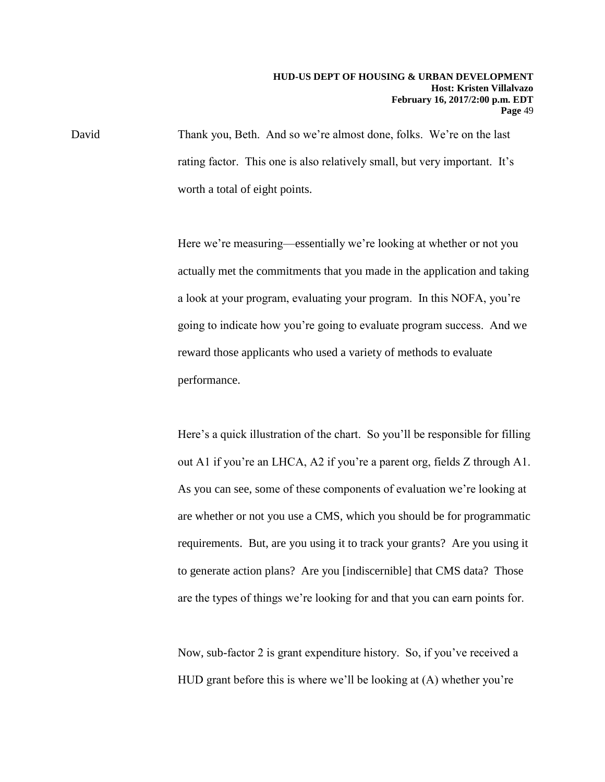David Thank you, Beth. And so we're almost done, folks. We're on the last rating factor. This one is also relatively small, but very important. It's worth a total of eight points.

> Here we're measuring—essentially we're looking at whether or not you actually met the commitments that you made in the application and taking a look at your program, evaluating your program. In this NOFA, you're going to indicate how you're going to evaluate program success. And we reward those applicants who used a variety of methods to evaluate performance.

> Here's a quick illustration of the chart. So you'll be responsible for filling out A1 if you're an LHCA, A2 if you're a parent org, fields Z through A1. As you can see, some of these components of evaluation we're looking at are whether or not you use a CMS, which you should be for programmatic requirements. But, are you using it to track your grants? Are you using it to generate action plans? Are you [indiscernible] that CMS data? Those are the types of things we're looking for and that you can earn points for.

Now, sub-factor 2 is grant expenditure history. So, if you've received a HUD grant before this is where we'll be looking at (A) whether you're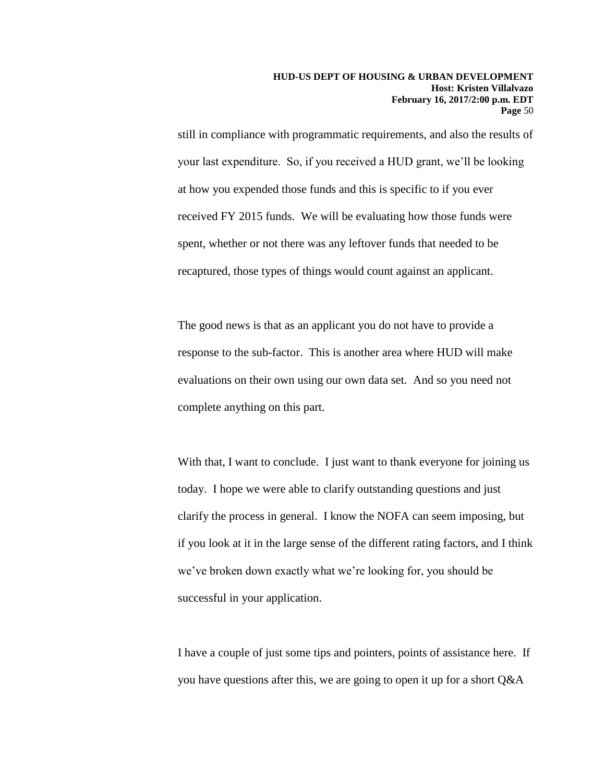still in compliance with programmatic requirements, and also the results of your last expenditure. So, if you received a HUD grant, we'll be looking at how you expended those funds and this is specific to if you ever received FY 2015 funds. We will be evaluating how those funds were spent, whether or not there was any leftover funds that needed to be recaptured, those types of things would count against an applicant.

The good news is that as an applicant you do not have to provide a response to the sub-factor. This is another area where HUD will make evaluations on their own using our own data set. And so you need not complete anything on this part.

With that, I want to conclude. I just want to thank everyone for joining us today. I hope we were able to clarify outstanding questions and just clarify the process in general. I know the NOFA can seem imposing, but if you look at it in the large sense of the different rating factors, and I think we've broken down exactly what we're looking for, you should be successful in your application.

I have a couple of just some tips and pointers, points of assistance here. If you have questions after this, we are going to open it up for a short Q&A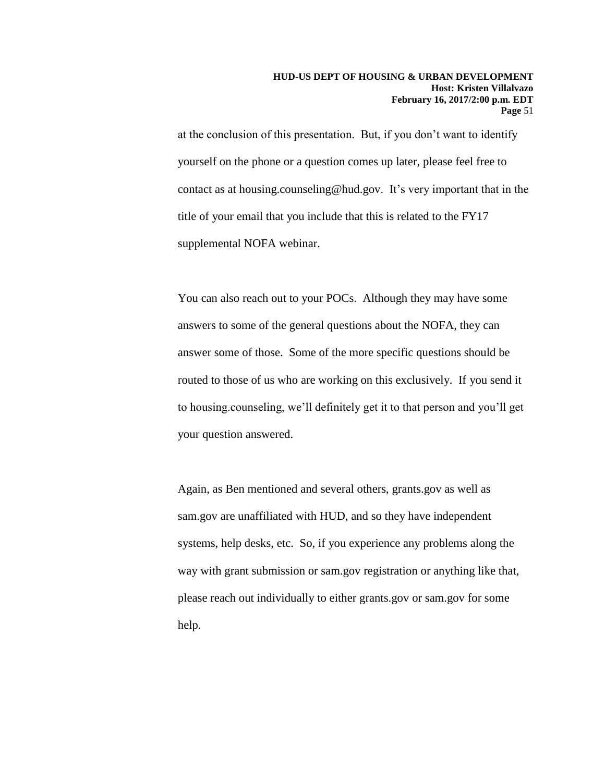at the conclusion of this presentation. But, if you don't want to identify yourself on the phone or a question comes up later, please feel free to contact as at housing.counseling@hud.gov. It's very important that in the title of your email that you include that this is related to the FY17 supplemental NOFA webinar.

You can also reach out to your POCs. Although they may have some answers to some of the general questions about the NOFA, they can answer some of those. Some of the more specific questions should be routed to those of us who are working on this exclusively. If you send it to housing.counseling, we'll definitely get it to that person and you'll get your question answered.

Again, as Ben mentioned and several others, grants.gov as well as sam.gov are unaffiliated with HUD, and so they have independent systems, help desks, etc. So, if you experience any problems along the way with grant submission or sam.gov registration or anything like that, please reach out individually to either grants.gov or sam.gov for some help.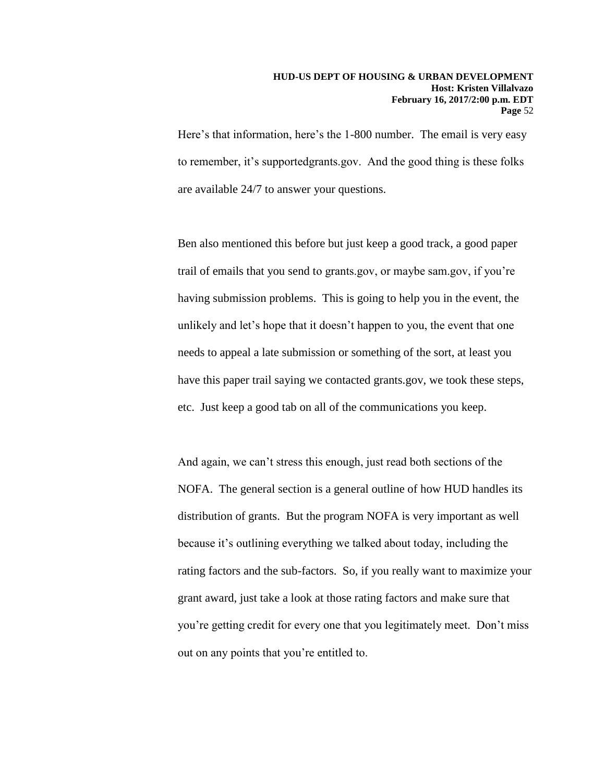Here's that information, here's the 1-800 number. The email is very easy to remember, it's supportedgrants.gov. And the good thing is these folks are available 24/7 to answer your questions.

Ben also mentioned this before but just keep a good track, a good paper trail of emails that you send to grants.gov, or maybe sam.gov, if you're having submission problems. This is going to help you in the event, the unlikely and let's hope that it doesn't happen to you, the event that one needs to appeal a late submission or something of the sort, at least you have this paper trail saying we contacted grants.gov, we took these steps, etc. Just keep a good tab on all of the communications you keep.

And again, we can't stress this enough, just read both sections of the NOFA. The general section is a general outline of how HUD handles its distribution of grants. But the program NOFA is very important as well because it's outlining everything we talked about today, including the rating factors and the sub-factors. So, if you really want to maximize your grant award, just take a look at those rating factors and make sure that you're getting credit for every one that you legitimately meet. Don't miss out on any points that you're entitled to.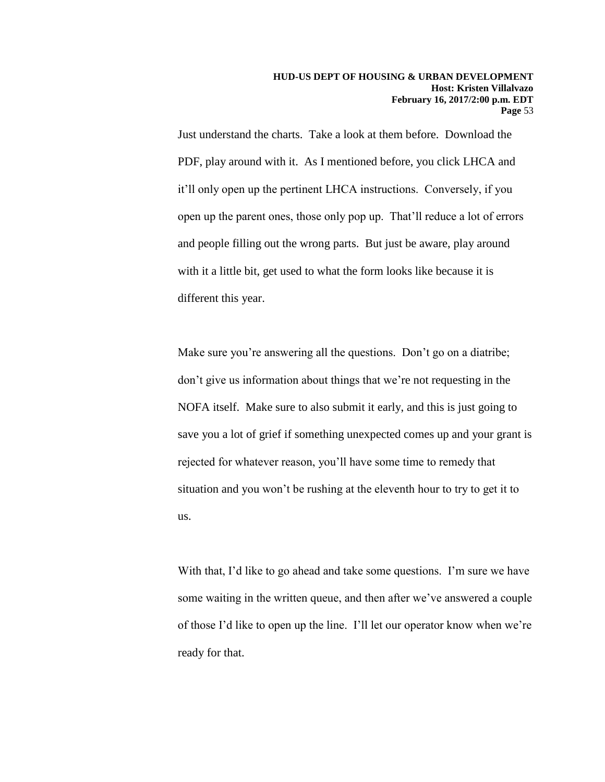Just understand the charts. Take a look at them before. Download the PDF, play around with it. As I mentioned before, you click LHCA and it'll only open up the pertinent LHCA instructions. Conversely, if you open up the parent ones, those only pop up. That'll reduce a lot of errors and people filling out the wrong parts. But just be aware, play around with it a little bit, get used to what the form looks like because it is different this year.

Make sure you're answering all the questions. Don't go on a diatribe; don't give us information about things that we're not requesting in the NOFA itself. Make sure to also submit it early, and this is just going to save you a lot of grief if something unexpected comes up and your grant is rejected for whatever reason, you'll have some time to remedy that situation and you won't be rushing at the eleventh hour to try to get it to us.

With that, I'd like to go ahead and take some questions. I'm sure we have some waiting in the written queue, and then after we've answered a couple of those I'd like to open up the line. I'll let our operator know when we're ready for that.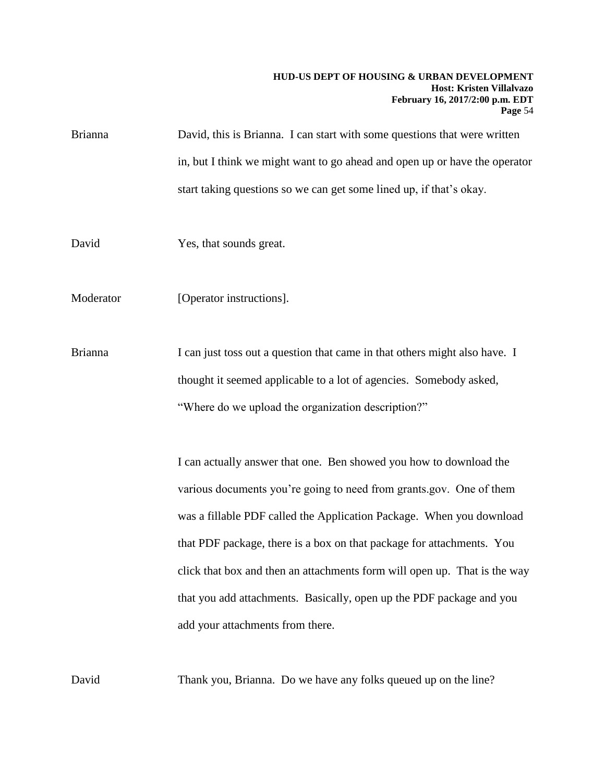- Brianna David, this is Brianna. I can start with some questions that were written in, but I think we might want to go ahead and open up or have the operator start taking questions so we can get some lined up, if that's okay.
- David Yes, that sounds great.
- Moderator [Operator instructions].
- Brianna I can just toss out a question that came in that others might also have. I thought it seemed applicable to a lot of agencies. Somebody asked, "Where do we upload the organization description?"

I can actually answer that one. Ben showed you how to download the various documents you're going to need from grants.gov. One of them was a fillable PDF called the Application Package. When you download that PDF package, there is a box on that package for attachments. You click that box and then an attachments form will open up. That is the way that you add attachments. Basically, open up the PDF package and you add your attachments from there.

David Thank you, Brianna. Do we have any folks queued up on the line?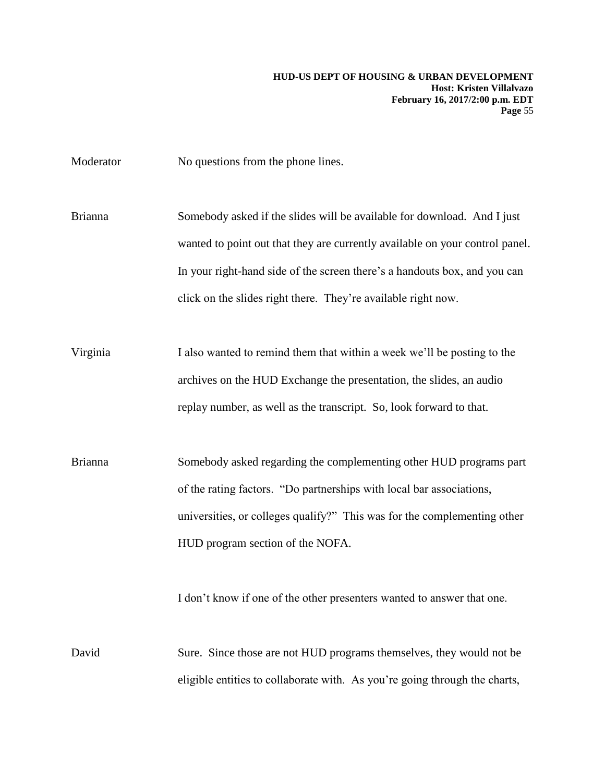Moderator No questions from the phone lines.

Brianna Somebody asked if the slides will be available for download. And I just wanted to point out that they are currently available on your control panel. In your right-hand side of the screen there's a handouts box, and you can click on the slides right there. They're available right now.

Virginia I also wanted to remind them that within a week we'll be posting to the archives on the HUD Exchange the presentation, the slides, an audio replay number, as well as the transcript. So, look forward to that.

Brianna Somebody asked regarding the complementing other HUD programs part of the rating factors. "Do partnerships with local bar associations, universities, or colleges qualify?" This was for the complementing other HUD program section of the NOFA.

I don't know if one of the other presenters wanted to answer that one.

David Sure. Since those are not HUD programs themselves, they would not be eligible entities to collaborate with. As you're going through the charts,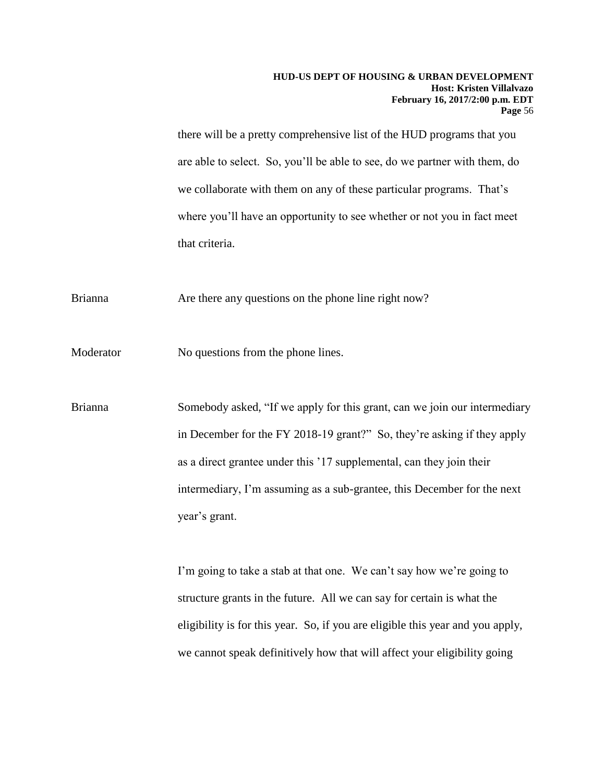there will be a pretty comprehensive list of the HUD programs that you are able to select. So, you'll be able to see, do we partner with them, do we collaborate with them on any of these particular programs. That's where you'll have an opportunity to see whether or not you in fact meet that criteria.

Brianna Are there any questions on the phone line right now?

Moderator No questions from the phone lines.

Brianna Somebody asked, "If we apply for this grant, can we join our intermediary in December for the FY 2018-19 grant?" So, they're asking if they apply as a direct grantee under this '17 supplemental, can they join their intermediary, I'm assuming as a sub-grantee, this December for the next year's grant.

> I'm going to take a stab at that one. We can't say how we're going to structure grants in the future. All we can say for certain is what the eligibility is for this year. So, if you are eligible this year and you apply, we cannot speak definitively how that will affect your eligibility going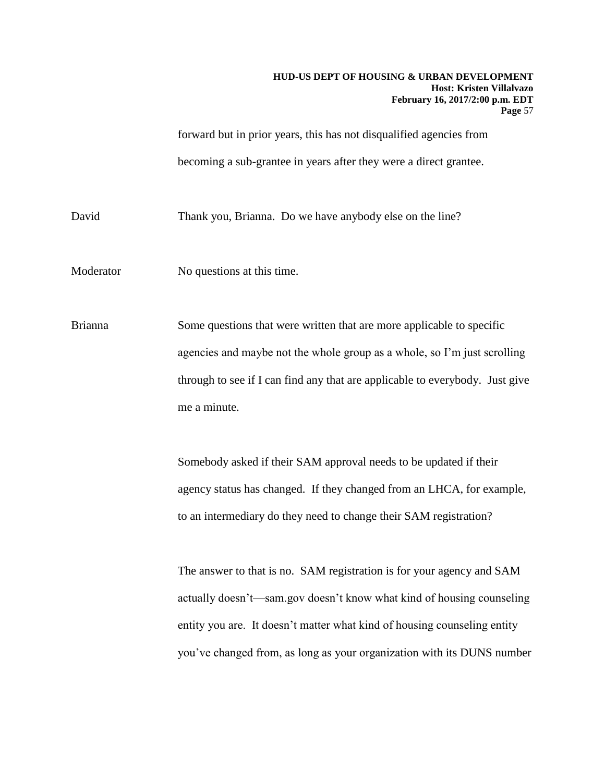forward but in prior years, this has not disqualified agencies from becoming a sub-grantee in years after they were a direct grantee.

David Thank you, Brianna. Do we have anybody else on the line?

Moderator No questions at this time.

Brianna Some questions that were written that are more applicable to specific agencies and maybe not the whole group as a whole, so I'm just scrolling through to see if I can find any that are applicable to everybody. Just give me a minute.

> Somebody asked if their SAM approval needs to be updated if their agency status has changed. If they changed from an LHCA, for example, to an intermediary do they need to change their SAM registration?

The answer to that is no. SAM registration is for your agency and SAM actually doesn't—sam.gov doesn't know what kind of housing counseling entity you are. It doesn't matter what kind of housing counseling entity you've changed from, as long as your organization with its DUNS number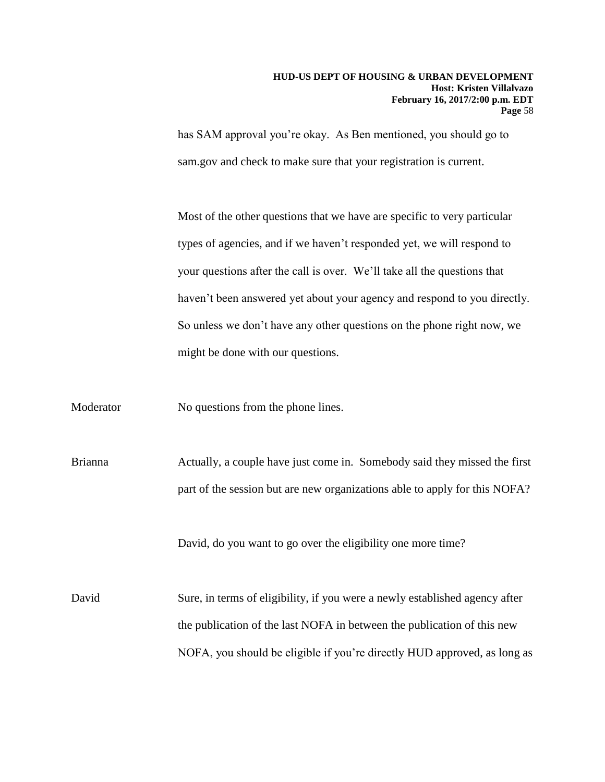has SAM approval you're okay. As Ben mentioned, you should go to sam.gov and check to make sure that your registration is current.

Most of the other questions that we have are specific to very particular types of agencies, and if we haven't responded yet, we will respond to your questions after the call is over. We'll take all the questions that haven't been answered yet about your agency and respond to you directly. So unless we don't have any other questions on the phone right now, we might be done with our questions.

Moderator No questions from the phone lines.

Brianna Actually, a couple have just come in. Somebody said they missed the first part of the session but are new organizations able to apply for this NOFA?

David, do you want to go over the eligibility one more time?

David Sure, in terms of eligibility, if you were a newly established agency after the publication of the last NOFA in between the publication of this new NOFA, you should be eligible if you're directly HUD approved, as long as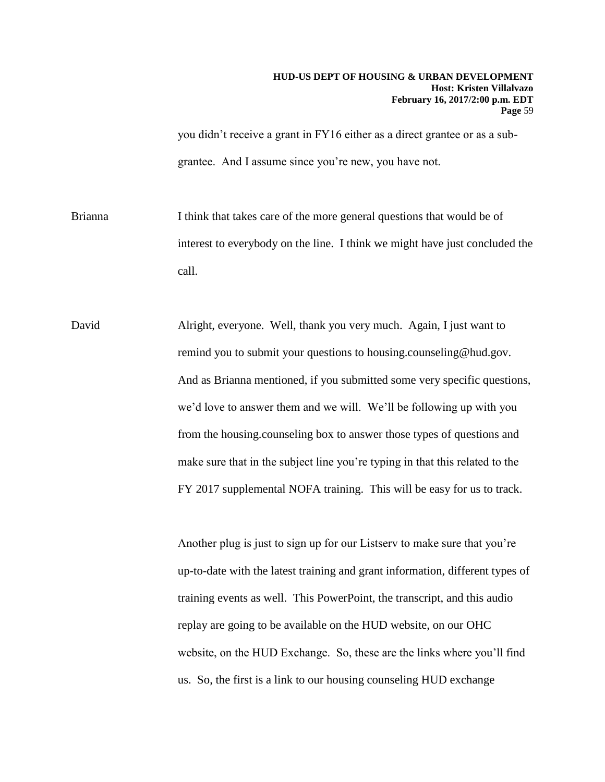you didn't receive a grant in FY16 either as a direct grantee or as a subgrantee. And I assume since you're new, you have not.

Brianna I think that takes care of the more general questions that would be of interest to everybody on the line. I think we might have just concluded the call.

David Alright, everyone. Well, thank you very much. Again, I just want to remind you to submit your questions to housing.counseling@hud.gov. And as Brianna mentioned, if you submitted some very specific questions, we'd love to answer them and we will. We'll be following up with you from the housing.counseling box to answer those types of questions and make sure that in the subject line you're typing in that this related to the FY 2017 supplemental NOFA training. This will be easy for us to track.

> Another plug is just to sign up for our Listserv to make sure that you're up-to-date with the latest training and grant information, different types of training events as well. This PowerPoint, the transcript, and this audio replay are going to be available on the HUD website, on our OHC website, on the HUD Exchange. So, these are the links where you'll find us. So, the first is a link to our housing counseling HUD exchange